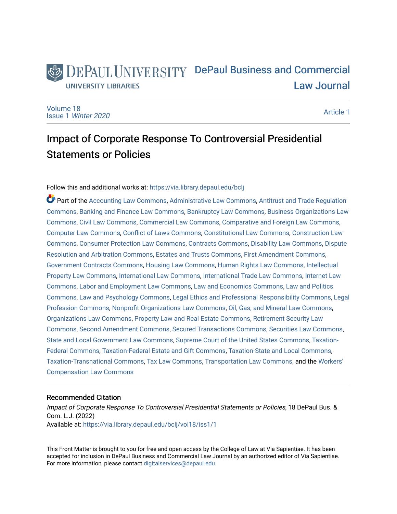## DEPAUL UNIVERSITY DePaul Business and Commercial **UNIVERSITY LIBRARIES** [Law Journal](https://via.library.depaul.edu/bclj)

[Volume 18](https://via.library.depaul.edu/bclj/vol18) Issue 1 [Winter 2020](https://via.library.depaul.edu/bclj/vol18/iss1) 

[Article 1](https://via.library.depaul.edu/bclj/vol18/iss1/1) 

# Impact of Corporate Response To Controversial Presidential Statements or Policies

## Follow this and additional works at: [https://via.library.depaul.edu/bclj](https://via.library.depaul.edu/bclj?utm_source=via.library.depaul.edu%2Fbclj%2Fvol18%2Fiss1%2F1&utm_medium=PDF&utm_campaign=PDFCoverPages)

Part of the [Accounting Law Commons](http://network.bepress.com/hgg/discipline/828?utm_source=via.library.depaul.edu%2Fbclj%2Fvol18%2Fiss1%2F1&utm_medium=PDF&utm_campaign=PDFCoverPages), [Administrative Law Commons](http://network.bepress.com/hgg/discipline/579?utm_source=via.library.depaul.edu%2Fbclj%2Fvol18%2Fiss1%2F1&utm_medium=PDF&utm_campaign=PDFCoverPages), [Antitrust and Trade Regulation](http://network.bepress.com/hgg/discipline/911?utm_source=via.library.depaul.edu%2Fbclj%2Fvol18%2Fiss1%2F1&utm_medium=PDF&utm_campaign=PDFCoverPages) [Commons](http://network.bepress.com/hgg/discipline/911?utm_source=via.library.depaul.edu%2Fbclj%2Fvol18%2Fiss1%2F1&utm_medium=PDF&utm_campaign=PDFCoverPages), [Banking and Finance Law Commons](http://network.bepress.com/hgg/discipline/833?utm_source=via.library.depaul.edu%2Fbclj%2Fvol18%2Fiss1%2F1&utm_medium=PDF&utm_campaign=PDFCoverPages), [Bankruptcy Law Commons](http://network.bepress.com/hgg/discipline/583?utm_source=via.library.depaul.edu%2Fbclj%2Fvol18%2Fiss1%2F1&utm_medium=PDF&utm_campaign=PDFCoverPages), [Business Organizations Law](http://network.bepress.com/hgg/discipline/900?utm_source=via.library.depaul.edu%2Fbclj%2Fvol18%2Fiss1%2F1&utm_medium=PDF&utm_campaign=PDFCoverPages)  [Commons](http://network.bepress.com/hgg/discipline/900?utm_source=via.library.depaul.edu%2Fbclj%2Fvol18%2Fiss1%2F1&utm_medium=PDF&utm_campaign=PDFCoverPages), [Civil Law Commons,](http://network.bepress.com/hgg/discipline/835?utm_source=via.library.depaul.edu%2Fbclj%2Fvol18%2Fiss1%2F1&utm_medium=PDF&utm_campaign=PDFCoverPages) [Commercial Law Commons](http://network.bepress.com/hgg/discipline/586?utm_source=via.library.depaul.edu%2Fbclj%2Fvol18%2Fiss1%2F1&utm_medium=PDF&utm_campaign=PDFCoverPages), [Comparative and Foreign Law Commons](http://network.bepress.com/hgg/discipline/836?utm_source=via.library.depaul.edu%2Fbclj%2Fvol18%2Fiss1%2F1&utm_medium=PDF&utm_campaign=PDFCoverPages), [Computer Law Commons](http://network.bepress.com/hgg/discipline/837?utm_source=via.library.depaul.edu%2Fbclj%2Fvol18%2Fiss1%2F1&utm_medium=PDF&utm_campaign=PDFCoverPages), [Conflict of Laws Commons](http://network.bepress.com/hgg/discipline/588?utm_source=via.library.depaul.edu%2Fbclj%2Fvol18%2Fiss1%2F1&utm_medium=PDF&utm_campaign=PDFCoverPages), [Constitutional Law Commons](http://network.bepress.com/hgg/discipline/589?utm_source=via.library.depaul.edu%2Fbclj%2Fvol18%2Fiss1%2F1&utm_medium=PDF&utm_campaign=PDFCoverPages), [Construction Law](http://network.bepress.com/hgg/discipline/590?utm_source=via.library.depaul.edu%2Fbclj%2Fvol18%2Fiss1%2F1&utm_medium=PDF&utm_campaign=PDFCoverPages)  [Commons](http://network.bepress.com/hgg/discipline/590?utm_source=via.library.depaul.edu%2Fbclj%2Fvol18%2Fiss1%2F1&utm_medium=PDF&utm_campaign=PDFCoverPages), [Consumer Protection Law Commons](http://network.bepress.com/hgg/discipline/838?utm_source=via.library.depaul.edu%2Fbclj%2Fvol18%2Fiss1%2F1&utm_medium=PDF&utm_campaign=PDFCoverPages), [Contracts Commons,](http://network.bepress.com/hgg/discipline/591?utm_source=via.library.depaul.edu%2Fbclj%2Fvol18%2Fiss1%2F1&utm_medium=PDF&utm_campaign=PDFCoverPages) [Disability Law Commons,](http://network.bepress.com/hgg/discipline/1074?utm_source=via.library.depaul.edu%2Fbclj%2Fvol18%2Fiss1%2F1&utm_medium=PDF&utm_campaign=PDFCoverPages) [Dispute](http://network.bepress.com/hgg/discipline/890?utm_source=via.library.depaul.edu%2Fbclj%2Fvol18%2Fiss1%2F1&utm_medium=PDF&utm_campaign=PDFCoverPages) [Resolution and Arbitration Commons](http://network.bepress.com/hgg/discipline/890?utm_source=via.library.depaul.edu%2Fbclj%2Fvol18%2Fiss1%2F1&utm_medium=PDF&utm_campaign=PDFCoverPages), [Estates and Trusts Commons,](http://network.bepress.com/hgg/discipline/906?utm_source=via.library.depaul.edu%2Fbclj%2Fvol18%2Fiss1%2F1&utm_medium=PDF&utm_campaign=PDFCoverPages) [First Amendment Commons,](http://network.bepress.com/hgg/discipline/1115?utm_source=via.library.depaul.edu%2Fbclj%2Fvol18%2Fiss1%2F1&utm_medium=PDF&utm_campaign=PDFCoverPages) [Government Contracts Commons,](http://network.bepress.com/hgg/discipline/845?utm_source=via.library.depaul.edu%2Fbclj%2Fvol18%2Fiss1%2F1&utm_medium=PDF&utm_campaign=PDFCoverPages) [Housing Law Commons,](http://network.bepress.com/hgg/discipline/846?utm_source=via.library.depaul.edu%2Fbclj%2Fvol18%2Fiss1%2F1&utm_medium=PDF&utm_campaign=PDFCoverPages) [Human Rights Law Commons](http://network.bepress.com/hgg/discipline/847?utm_source=via.library.depaul.edu%2Fbclj%2Fvol18%2Fiss1%2F1&utm_medium=PDF&utm_campaign=PDFCoverPages), [Intellectual](http://network.bepress.com/hgg/discipline/896?utm_source=via.library.depaul.edu%2Fbclj%2Fvol18%2Fiss1%2F1&utm_medium=PDF&utm_campaign=PDFCoverPages)  [Property Law Commons](http://network.bepress.com/hgg/discipline/896?utm_source=via.library.depaul.edu%2Fbclj%2Fvol18%2Fiss1%2F1&utm_medium=PDF&utm_campaign=PDFCoverPages), [International Law Commons](http://network.bepress.com/hgg/discipline/609?utm_source=via.library.depaul.edu%2Fbclj%2Fvol18%2Fiss1%2F1&utm_medium=PDF&utm_campaign=PDFCoverPages), [International Trade Law Commons](http://network.bepress.com/hgg/discipline/848?utm_source=via.library.depaul.edu%2Fbclj%2Fvol18%2Fiss1%2F1&utm_medium=PDF&utm_campaign=PDFCoverPages), [Internet Law](http://network.bepress.com/hgg/discipline/892?utm_source=via.library.depaul.edu%2Fbclj%2Fvol18%2Fiss1%2F1&utm_medium=PDF&utm_campaign=PDFCoverPages)  [Commons](http://network.bepress.com/hgg/discipline/892?utm_source=via.library.depaul.edu%2Fbclj%2Fvol18%2Fiss1%2F1&utm_medium=PDF&utm_campaign=PDFCoverPages), [Labor and Employment Law Commons,](http://network.bepress.com/hgg/discipline/909?utm_source=via.library.depaul.edu%2Fbclj%2Fvol18%2Fiss1%2F1&utm_medium=PDF&utm_campaign=PDFCoverPages) [Law and Economics Commons,](http://network.bepress.com/hgg/discipline/612?utm_source=via.library.depaul.edu%2Fbclj%2Fvol18%2Fiss1%2F1&utm_medium=PDF&utm_campaign=PDFCoverPages) [Law and Politics](http://network.bepress.com/hgg/discipline/867?utm_source=via.library.depaul.edu%2Fbclj%2Fvol18%2Fiss1%2F1&utm_medium=PDF&utm_campaign=PDFCoverPages) [Commons](http://network.bepress.com/hgg/discipline/867?utm_source=via.library.depaul.edu%2Fbclj%2Fvol18%2Fiss1%2F1&utm_medium=PDF&utm_campaign=PDFCoverPages), [Law and Psychology Commons](http://network.bepress.com/hgg/discipline/870?utm_source=via.library.depaul.edu%2Fbclj%2Fvol18%2Fiss1%2F1&utm_medium=PDF&utm_campaign=PDFCoverPages), [Legal Ethics and Professional Responsibility Commons,](http://network.bepress.com/hgg/discipline/895?utm_source=via.library.depaul.edu%2Fbclj%2Fvol18%2Fiss1%2F1&utm_medium=PDF&utm_campaign=PDFCoverPages) [Legal](http://network.bepress.com/hgg/discipline/1075?utm_source=via.library.depaul.edu%2Fbclj%2Fvol18%2Fiss1%2F1&utm_medium=PDF&utm_campaign=PDFCoverPages) [Profession Commons,](http://network.bepress.com/hgg/discipline/1075?utm_source=via.library.depaul.edu%2Fbclj%2Fvol18%2Fiss1%2F1&utm_medium=PDF&utm_campaign=PDFCoverPages) [Nonprofit Organizations Law Commons](http://network.bepress.com/hgg/discipline/1349?utm_source=via.library.depaul.edu%2Fbclj%2Fvol18%2Fiss1%2F1&utm_medium=PDF&utm_campaign=PDFCoverPages), [Oil, Gas, and Mineral Law Commons](http://network.bepress.com/hgg/discipline/864?utm_source=via.library.depaul.edu%2Fbclj%2Fvol18%2Fiss1%2F1&utm_medium=PDF&utm_campaign=PDFCoverPages), [Organizations Law Commons](http://network.bepress.com/hgg/discipline/865?utm_source=via.library.depaul.edu%2Fbclj%2Fvol18%2Fiss1%2F1&utm_medium=PDF&utm_campaign=PDFCoverPages), [Property Law and Real Estate Commons](http://network.bepress.com/hgg/discipline/897?utm_source=via.library.depaul.edu%2Fbclj%2Fvol18%2Fiss1%2F1&utm_medium=PDF&utm_campaign=PDFCoverPages), [Retirement Security Law](http://network.bepress.com/hgg/discipline/873?utm_source=via.library.depaul.edu%2Fbclj%2Fvol18%2Fiss1%2F1&utm_medium=PDF&utm_campaign=PDFCoverPages) [Commons](http://network.bepress.com/hgg/discipline/873?utm_source=via.library.depaul.edu%2Fbclj%2Fvol18%2Fiss1%2F1&utm_medium=PDF&utm_campaign=PDFCoverPages), [Second Amendment Commons,](http://network.bepress.com/hgg/discipline/1119?utm_source=via.library.depaul.edu%2Fbclj%2Fvol18%2Fiss1%2F1&utm_medium=PDF&utm_campaign=PDFCoverPages) [Secured Transactions Commons,](http://network.bepress.com/hgg/discipline/876?utm_source=via.library.depaul.edu%2Fbclj%2Fvol18%2Fiss1%2F1&utm_medium=PDF&utm_campaign=PDFCoverPages) [Securities Law Commons,](http://network.bepress.com/hgg/discipline/619?utm_source=via.library.depaul.edu%2Fbclj%2Fvol18%2Fiss1%2F1&utm_medium=PDF&utm_campaign=PDFCoverPages) [State and Local Government Law Commons](http://network.bepress.com/hgg/discipline/879?utm_source=via.library.depaul.edu%2Fbclj%2Fvol18%2Fiss1%2F1&utm_medium=PDF&utm_campaign=PDFCoverPages), [Supreme Court of the United States Commons](http://network.bepress.com/hgg/discipline/1350?utm_source=via.library.depaul.edu%2Fbclj%2Fvol18%2Fiss1%2F1&utm_medium=PDF&utm_campaign=PDFCoverPages), [Taxation-](http://network.bepress.com/hgg/discipline/881?utm_source=via.library.depaul.edu%2Fbclj%2Fvol18%2Fiss1%2F1&utm_medium=PDF&utm_campaign=PDFCoverPages)[Federal Commons](http://network.bepress.com/hgg/discipline/881?utm_source=via.library.depaul.edu%2Fbclj%2Fvol18%2Fiss1%2F1&utm_medium=PDF&utm_campaign=PDFCoverPages), [Taxation-Federal Estate and Gift Commons](http://network.bepress.com/hgg/discipline/880?utm_source=via.library.depaul.edu%2Fbclj%2Fvol18%2Fiss1%2F1&utm_medium=PDF&utm_campaign=PDFCoverPages), [Taxation-State and Local Commons,](http://network.bepress.com/hgg/discipline/882?utm_source=via.library.depaul.edu%2Fbclj%2Fvol18%2Fiss1%2F1&utm_medium=PDF&utm_campaign=PDFCoverPages) [Taxation-Transnational Commons](http://network.bepress.com/hgg/discipline/883?utm_source=via.library.depaul.edu%2Fbclj%2Fvol18%2Fiss1%2F1&utm_medium=PDF&utm_campaign=PDFCoverPages), [Tax Law Commons,](http://network.bepress.com/hgg/discipline/898?utm_source=via.library.depaul.edu%2Fbclj%2Fvol18%2Fiss1%2F1&utm_medium=PDF&utm_campaign=PDFCoverPages) [Transportation Law Commons](http://network.bepress.com/hgg/discipline/885?utm_source=via.library.depaul.edu%2Fbclj%2Fvol18%2Fiss1%2F1&utm_medium=PDF&utm_campaign=PDFCoverPages), and the [Workers'](http://network.bepress.com/hgg/discipline/889?utm_source=via.library.depaul.edu%2Fbclj%2Fvol18%2Fiss1%2F1&utm_medium=PDF&utm_campaign=PDFCoverPages)  [Compensation Law Commons](http://network.bepress.com/hgg/discipline/889?utm_source=via.library.depaul.edu%2Fbclj%2Fvol18%2Fiss1%2F1&utm_medium=PDF&utm_campaign=PDFCoverPages)

## Recommended Citation

Impact of Corporate Response To Controversial Presidential Statements or Policies, 18 DePaul Bus. & Com. L.J. (2022) Available at: [https://via.library.depaul.edu/bclj/vol18/iss1/1](https://via.library.depaul.edu/bclj/vol18/iss1/1?utm_source=via.library.depaul.edu%2Fbclj%2Fvol18%2Fiss1%2F1&utm_medium=PDF&utm_campaign=PDFCoverPages) 

This Front Matter is brought to you for free and open access by the College of Law at Via Sapientiae. It has been accepted for inclusion in DePaul Business and Commercial Law Journal by an authorized editor of Via Sapientiae. For more information, please contact [digitalservices@depaul.edu.](mailto:digitalservices@depaul.edu)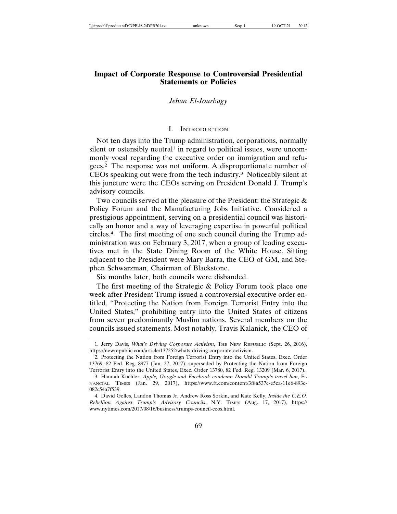## **Impact of Corporate Response to Controversial Presidential Statements or Policies**

## *Jehan El-Jourbagy*

## I. INTRODUCTION

Not ten days into the Trump administration, corporations, normally silent or ostensibly neutral<sup>1</sup> in regard to political issues, were uncommonly vocal regarding the executive order on immigration and refugees.2 The response was not uniform. A disproportionate number of CEOs speaking out were from the tech industry.3 Noticeably silent at this juncture were the CEOs serving on President Donald J. Trump's advisory councils.

Two councils served at the pleasure of the President: the Strategic & Policy Forum and the Manufacturing Jobs Initiative. Considered a prestigious appointment, serving on a presidential council was historically an honor and a way of leveraging expertise in powerful political circles.4 The first meeting of one such council during the Trump administration was on February 3, 2017, when a group of leading executives met in the State Dining Room of the White House. Sitting adjacent to the President were Mary Barra, the CEO of GM, and Stephen Schwarzman, Chairman of Blackstone.

Six months later, both councils were disbanded.

The first meeting of the Strategic & Policy Forum took place one week after President Trump issued a controversial executive order entitled, "Protecting the Nation from Foreign Terrorist Entry into the United States," prohibiting entry into the United States of citizens from seven predominantly Muslim nations. Several members on the councils issued statements. Most notably, Travis Kalanick, the CEO of

<sup>1.</sup> Jerry Davis, *What's Driving Corporate Activism*, THE NEW REPUBLIC (Sept. 26, 2016), https://newrepublic.com/article/137252/whats-driving-corporate-activism.

<sup>2.</sup> Protecting the Nation from Foreign Terrorist Entry into the United States, Exec. Order 13769, 82 Fed. Reg. 8977 (Jan. 27, 2017), superseded by Protecting the Nation from Foreign Terrorist Entry into the United States, Exec. Order 13780, 82 Fed. Reg. 13209 (Mar. 6, 2017).

<sup>3.</sup> Hannah Kuchler, *Apple, Google and Facebook condemn Donald Trump's travel ban*, FI-NANCIAL TIMES (Jan. 29, 2017), https://www.ft.com/content/3f8a537c-e5ca-11e6-893c-082c54a7f539.

<sup>4.</sup> David Gelles, Landon Thomas Jr, Andrew Ross Sorkin, and Kate Kelly, *Inside the C.E.O. Rebellion Against Trump's Advisory Councils*, N.Y. TIMES (Aug. 17, 2017), https:// www.nytimes.com/2017/08/16/business/trumps-council-ceos.html.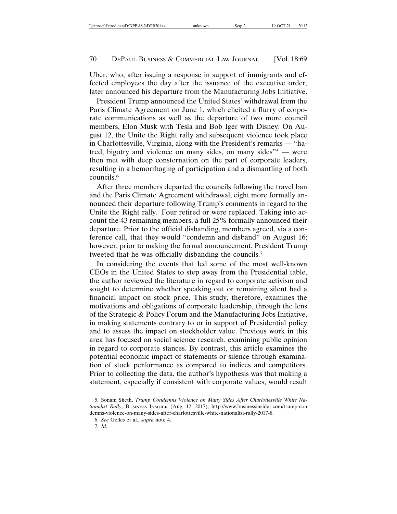Uber, who, after issuing a response in support of immigrants and effected employees the day after the issuance of the executive order, later announced his departure from the Manufacturing Jobs Initiative.

President Trump announced the United States' withdrawal from the Paris Climate Agreement on June 1, which elicited a flurry of corporate communications as well as the departure of two more council members, Elon Musk with Tesla and Bob Iger with Disney. On August 12, the Unite the Right rally and subsequent violence took place in Charlottesville, Virginia, along with the President's remarks — "hatred, bigotry and violence on many sides, on many sides"5 — were then met with deep consternation on the part of corporate leaders, resulting in a hemorrhaging of participation and a dismantling of both councils.6

After three members departed the councils following the travel ban and the Paris Climate Agreement withdrawal, eight more formally announced their departure following Trump's comments in regard to the Unite the Right rally. Four retired or were replaced. Taking into account the 43 remaining members, a full 25% formally announced their departure. Prior to the official disbanding, members agreed, via a conference call, that they would "condemn and disband" on August 16; however, prior to making the formal announcement, President Trump tweeted that he was officially disbanding the councils.7

In considering the events that led some of the most well-known CEOs in the United States to step away from the Presidential table, the author reviewed the literature in regard to corporate activism and sought to determine whether speaking out or remaining silent had a financial impact on stock price. This study, therefore, examines the motivations and obligations of corporate leadership, through the lens of the Strategic & Policy Forum and the Manufacturing Jobs Initiative, in making statements contrary to or in support of Presidential policy and to assess the impact on stockholder value. Previous work in this area has focused on social science research, examining public opinion in regard to corporate stances. By contrast, this article examines the potential economic impact of statements or silence through examination of stock performance as compared to indices and competitors. Prior to collecting the data, the author's hypothesis was that making a statement, especially if consistent with corporate values, would result

<sup>5.</sup> Sonam Sheth, *Trump Condemns Violence on Many Sides After Charlottesville White Nationalist Rally*, BUSINESS INSIDER (Aug. 12, 2017), http://www.businessinsider.com/trump-con demns-violence-on-many-sides-after-charlottesville-white-nationalist-rally-2017-8.

<sup>6.</sup> *See* Gelles et al., *supra* note 4.

<sup>7.</sup> *Id.*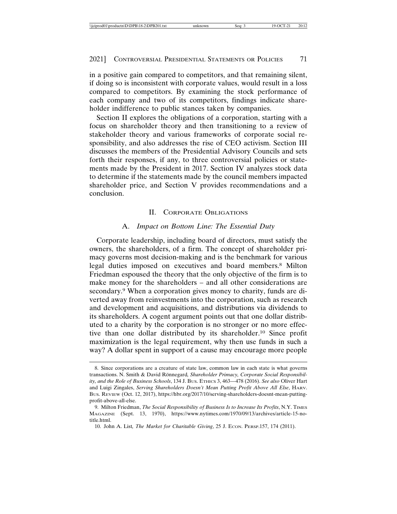in a positive gain compared to competitors, and that remaining silent, if doing so is inconsistent with corporate values, would result in a loss compared to competitors. By examining the stock performance of each company and two of its competitors, findings indicate shareholder indifference to public stances taken by companies.

Section II explores the obligations of a corporation, starting with a focus on shareholder theory and then transitioning to a review of stakeholder theory and various frameworks of corporate social responsibility, and also addresses the rise of CEO activism. Section III discusses the members of the Presidential Advisory Councils and sets forth their responses, if any, to three controversial policies or statements made by the President in 2017. Section IV analyzes stock data to determine if the statements made by the council members impacted shareholder price, and Section V provides recommendations and a conclusion.

#### II. CORPORATE OBLIGATIONS

#### A. *Impact on Bottom Line: The Essential Duty*

Corporate leadership, including board of directors, must satisfy the owners, the shareholders, of a firm. The concept of shareholder primacy governs most decision-making and is the benchmark for various legal duties imposed on executives and board members.8 Milton Friedman espoused the theory that the only objective of the firm is to make money for the shareholders – and all other considerations are secondary.9 When a corporation gives money to charity, funds are diverted away from reinvestments into the corporation, such as research and development and acquisitions, and distributions via dividends to its shareholders. A cogent argument points out that one dollar distributed to a charity by the corporation is no stronger or no more effective than one dollar distributed by its shareholder.10 Since profit maximization is the legal requirement, why then use funds in such a way? A dollar spent in support of a cause may encourage more people

<sup>8.</sup> Since corporations are a creature of state law, common law in each state is what governs transactions. N. Smith & David Rönnegard, Shareholder Primacy, Corporate Social Responsibil*ity, and the Role of Business Schools*, 134 J. BUS. ETHICS 3, 463—478 (2016). *See also* Oliver Hart and Luigi Zingales, *Serving Shareholders Doesn't Mean Putting Profit Above All Else*, HARV. BUS. REVIEW (Oct. 12, 2017), https://hbr.org/2017/10/serving-shareholders-doesnt-mean-puttingprofit-above-all-else.

<sup>9.</sup> Milton Friedman, *The Social Responsibility of Business Is to Increase Its Profits*, N.Y. TIMES MAGAZINE (Sept. 13, 1970), https://www.nytimes.com/1970/09/13/archives/article-15-notitle.html.

<sup>10.</sup> John A. List*, The Market for Charitable Giving*, 25 J. ECON. PERSP.157, 174 (2011).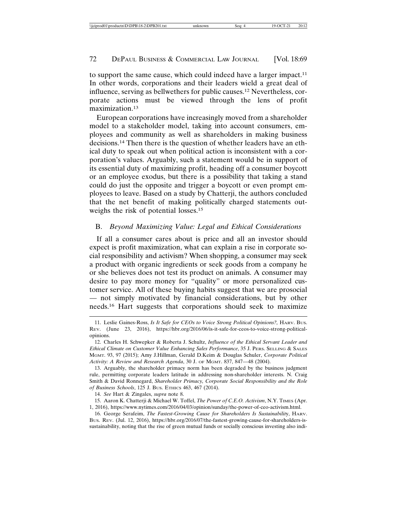to support the same cause, which could indeed have a larger impact.11 In other words, corporations and their leaders wield a great deal of influence, serving as bellwethers for public causes.12 Nevertheless, corporate actions must be viewed through the lens of profit maximization.13

European corporations have increasingly moved from a shareholder model to a stakeholder model, taking into account consumers, employees and community as well as shareholders in making business decisions.14 Then there is the question of whether leaders have an ethical duty to speak out when political action is inconsistent with a corporation's values. Arguably, such a statement would be in support of its essential duty of maximizing profit, heading off a consumer boycott or an employee exodus, but there is a possibility that taking a stand could do just the opposite and trigger a boycott or even prompt employees to leave. Based on a study by Chatterji, the authors concluded that the net benefit of making politically charged statements outweighs the risk of potential losses.<sup>15</sup>

## B. *Beyond Maximizing Value: Legal and Ethical Considerations*

If all a consumer cares about is price and all an investor should expect is profit maximization, what can explain a rise in corporate social responsibility and activism? When shopping, a consumer may seek a product with organic ingredients or seek goods from a company he or she believes does not test its product on animals. A consumer may desire to pay more money for "quality" or more personalized customer service. All of these buying habits suggest that we are prosocial — not simply motivated by financial considerations, but by other needs.16 Hart suggests that corporations should seek to maximize

<sup>11.</sup> Leslie Gaines-Ross, *Is It Safe for CEOs to Voice Strong Political Opinions?,* HARV. BUS. REV. (June 23, 2016), https://hbr.org/2016/06/is-it-safe-for-ceos-to-voice-strong-politicalopinions.

<sup>12.</sup> Charles H. Schwepker & Roberta J. Schultz, *Influence of the Ethical Servant Leader and Ethical Climate on Customer Value Enhancing Sales Performance*, 35 J. PERS. SELLING & SALES MGMT. 93, 97 (2015); Amy J.Hillman, Gerald D.Keim & Douglas Schuler, *Corporate Political Activity: A Review and Research Agenda*, 30 J. OF MGMT. 837, 847—48 (2004).

<sup>13.</sup> Arguably, the shareholder primacy norm has been degraded by the business judgment rule, permitting corporate leaders latitude in addressing non-shareholder interests. N. Craig Smith & David Ronnegard, *Shareholder Primacy, Corporate Social Responsibility and the Role of Business Schools*, 125 J. BUS. ETHICS 463, 467 (2014).

<sup>14.</sup> *See* Hart & Zingales, *supra* note 8.

<sup>15.</sup> Aaron K. Chatterji & Michael W. Toffel, *The Power of C.E.O. Activism*, N.Y. TIMES (Apr. 1, 2016), https://www.nytimes.com/2016/04/03/opinion/sunday/the-power-of-ceo-activism.html.

<sup>16.</sup> George Serafeim, *The Fastest-Growing Cause for Shareholders Is Sustainabilit*y, HARV. BUS. REV. (Jul. 12, 2016), https://hbr.org/2016/07/the-fastest-growing-cause-for-shareholders-issustainability, noting that the rise of green mutual funds or socially conscious investing also indi-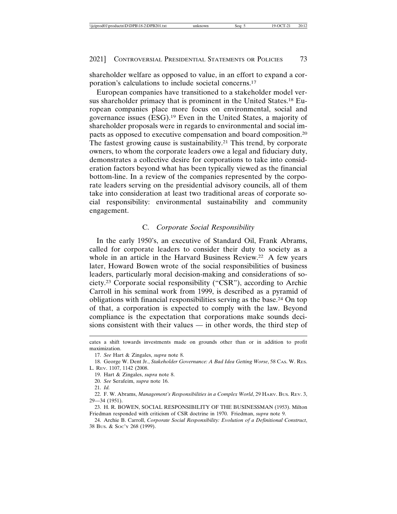shareholder welfare as opposed to value, in an effort to expand a corporation's calculations to include societal concerns.17

European companies have transitioned to a stakeholder model versus shareholder primacy that is prominent in the United States.18 European companies place more focus on environmental, social and governance issues (ESG).19 Even in the United States, a majority of shareholder proposals were in regards to environmental and social impacts as opposed to executive compensation and board composition.20 The fastest growing cause is sustainability.<sup>21</sup> This trend, by corporate owners, to whom the corporate leaders owe a legal and fiduciary duty, demonstrates a collective desire for corporations to take into consideration factors beyond what has been typically viewed as the financial bottom-line. In a review of the companies represented by the corporate leaders serving on the presidential advisory councils, all of them take into consideration at least two traditional areas of corporate social responsibility: environmental sustainability and community engagement.

#### C. *Corporate Social Responsibility*

In the early 1950's, an executive of Standard Oil, Frank Abrams, called for corporate leaders to consider their duty to society as a whole in an article in the Harvard Business Review.<sup>22</sup> A few years later, Howard Bowen wrote of the social responsibilities of business leaders, particularly moral decision-making and considerations of society.23 Corporate social responsibility ("CSR"), according to Archie Carroll in his seminal work from 1999, is described as a pyramid of obligations with financial responsibilities serving as the base.24 On top of that, a corporation is expected to comply with the law. Beyond compliance is the expectation that corporations make sounds decisions consistent with their values — in other words, the third step of

cates a shift towards investments made on grounds other than or in addition to profit maximization.

<sup>17.</sup> *See* Hart & Zingales, *supra* note 8.

<sup>18.</sup> George W. Dent Jr., *Stakeholder Governance: A Bad Idea Getting Worse*, 58 CAS. W. RES. L. REV. 1107, 1142 (2008.

<sup>19.</sup> Hart & Zingales, *supra* note 8.

<sup>20.</sup> *See* Serafeim, *supra* note 16.

<sup>21.</sup> *Id.*

<sup>22.</sup> F. W. Abrams, *Management's Responsibilities in a Complex World*, 29 HARV. Bus. REV. 3, 29—34 (1951).

<sup>23.</sup> H. R. BOWEN, SOCIAL RESPONSIBILITY OF THE BUSINESSMAN (1953). Milton Friedman responded with criticism of CSR doctrine in 1970. Friedman, *supra* note 9.

<sup>24.</sup> Archie B. Carroll, *Corporate Social Responsibility: Evolution of a Definitional Construct*, 38 BUS. & SOC'Y 268 (1999).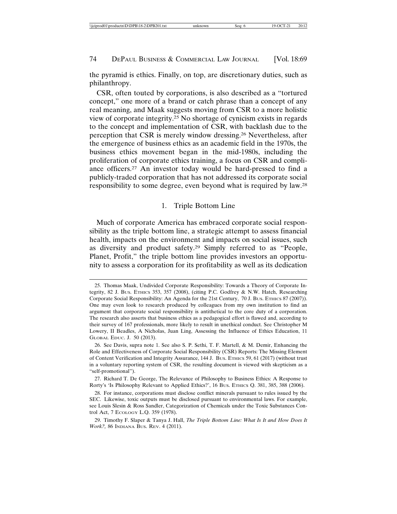the pyramid is ethics. Finally, on top, are discretionary duties, such as philanthropy.

CSR, often touted by corporations, is also described as a "tortured concept," one more of a brand or catch phrase than a concept of any real meaning, and Maak suggests moving from CSR to a more holistic view of corporate integrity.25 No shortage of cynicism exists in regards to the concept and implementation of CSR, with backlash due to the perception that CSR is merely window dressing.26 Nevertheless, after the emergence of business ethics as an academic field in the 1970s, the business ethics movement began in the mid-1980s, including the proliferation of corporate ethics training, a focus on CSR and compliance officers.27 An investor today would be hard-pressed to find a publicly-traded corporation that has not addressed its corporate social responsibility to some degree, even beyond what is required by law.28

#### 1. Triple Bottom Line

Much of corporate America has embraced corporate social responsibility as the triple bottom line, a strategic attempt to assess financial health, impacts on the environment and impacts on social issues, such as diversity and product safety.29 Simply referred to as "People, Planet, Profit," the triple bottom line provides investors an opportunity to assess a corporation for its profitability as well as its dedication

<sup>25.</sup> Thomas Maak, Undivided Corporate Responsibility: Towards a Theory of Corporate Integrity, 82 J. BUS. ETHICS 353, 357 (2008), (citing P.C. Godfrey & N.W. Hatch, Researching Corporate Social Responsibility: An Agenda for the 21st Century, 70 J. BUS. ETHICS 87 (2007)). One may even look to research produced by colleagues from my own institution to find an argument that corporate social responsibility is antithetical to the core duty of a corporation. The research also asserts that business ethics as a pedagogical effort is flawed and, according to their survey of 167 professionals, more likely to result in unethical conduct. See Christopher M Lowery, II Beadles, A Nicholas, Juan Ling, Assessing the Influence of Ethics Education, 11 GLOBAL EDUC. J. 50 (2013).

<sup>26.</sup> See Davis, supra note 1. See also S. P. Sethi, T. F. Martell, & M. Demir, Enhancing the Role and Effectiveness of Corporate Social Responsibility (CSR) Reports: The Missing Element of Content Verification and Integrity Assurance, 144 J. BUS. ETHICS 59, 61 (2017) (without trust in a voluntary reporting system of CSR, the resulting document is viewed with skepticism as a "self-promotional").

<sup>27.</sup> Richard T. De George, The Relevance of Philosophy to Business Ethics: A Response to Rorty's 'Is Philosophy Relevant to Applied Ethics?', 16 Bus. ETHICS Q. 381, 385, 388 (2006).

<sup>28.</sup> For instance, corporations must disclose conflict minerals pursuant to rules issued by the SEC. Likewise, toxic outputs must be disclosed pursuant to environmental laws. For example, see Louis Slesin & Ross Sandler, Categorization of Chemicals under the Toxic Substances Control Act, 7 ECOLOGY L.Q. 359 (1978).

<sup>29.</sup> Timothy F. Slaper & Tanya J. Hall, *The Triple Bottom Line: What Is It and How Does It Work?*, 86 INDIANA BUS. REV. 4 (2011).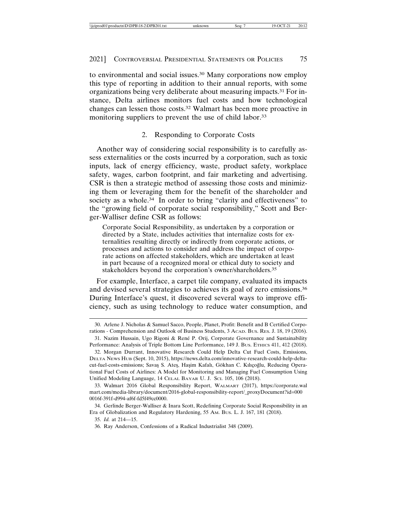to environmental and social issues.30 Many corporations now employ this type of reporting in addition to their annual reports, with some organizations being very deliberate about measuring impacts.31 For instance, Delta airlines monitors fuel costs and how technological changes can lessen those costs.32 Walmart has been more proactive in monitoring suppliers to prevent the use of child labor.<sup>33</sup>

## 2. Responding to Corporate Costs

Another way of considering social responsibility is to carefully assess externalities or the costs incurred by a corporation, such as toxic inputs, lack of energy efficiency, waste, product safety, workplace safety, wages, carbon footprint, and fair marketing and advertising. CSR is then a strategic method of assessing those costs and minimizing them or leveraging them for the benefit of the shareholder and society as a whole.<sup>34</sup> In order to bring "clarity and effectiveness" to the "growing field of corporate social responsibility," Scott and Berger-Walliser define CSR as follows:

Corporate Social Responsibility, as undertaken by a corporation or directed by a State, includes activities that internalize costs for externalities resulting directly or indirectly from corporate actions, or processes and actions to consider and address the impact of corporate actions on affected stakeholders, which are undertaken at least in part because of a recognized moral or ethical duty to society and stakeholders beyond the corporation's owner/shareholders.<sup>35</sup>

For example, Interface, a carpet tile company, evaluated its impacts and devised several strategies to achieves its goal of zero emissions.36 During Interface's quest, it discovered several ways to improve efficiency, such as using technology to reduce water consumption, and

<sup>30.</sup> Arlene J. Nicholas & Samuel Sacco, People, Planet, Profit: Benefit and B Certified Corporations - Comprehension and Outlook of Business Students, 3 ACAD. BUS. RES. J. 18, 19 (2016).

<sup>31.</sup> Nazim Hussain, Ugo Rigoni & René P. Orij, Corporate Governance and Sustainability Performance: Analysis of Triple Bottom Line Performance, 149 J. BUS. ETHICS 411, 412 (2018).

<sup>32.</sup> Morgan Durrant, Innovative Research Could Help Delta Cut Fuel Costs, Emissions, DELTA NEWS HUB (Sept. 10, 2015), https://news.delta.com/innovative-research-could-help-deltacut-fuel-costs-emissions; Savaş S. Ateş, Haşim Kafalı, Gökhan C. Kılıçoğlu, Reducing Operational Fuel Costs of Airlines: A Model for Monitoring and Managing Fuel Consumption Using Unified Modeling Language, 14 CELAL BAYAR U. J. SCI. 105, 106 (2018).

<sup>33.</sup> Walmart 2016 Global Responsibility Report, WALMART (2017), https://corporate.wal mart.com/media-library/document/2016-global-responsibility-report/\_proxyDocument?id=000 0016f-391f-d994-af6f-fd5f49cc0000.

<sup>34.</sup> Gerlinde Berger-Walliser & Inara Scott, Redefining Corporate Social Responsibility in an Era of Globalization and Regulatory Hardening, 55 AM. BUS. L. J. 167, 181 (2018).

<sup>35.</sup> *Id.* at 214—15.

<sup>36.</sup> Ray Anderson, Confessions of a Radical Industrialist 348 (2009).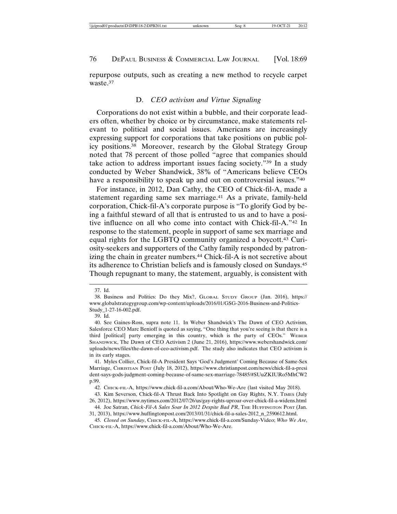repurpose outputs, such as creating a new method to recycle carpet waste.37

## D. *CEO activism and Virtue Signaling*

Corporations do not exist within a bubble, and their corporate leaders often, whether by choice or by circumstance, make statements relevant to political and social issues. Americans are increasingly expressing support for corporations that take positions on public policy positions.38 Moreover, research by the Global Strategy Group noted that 78 percent of those polled "agree that companies should take action to address important issues facing society."39 In a study conducted by Weber Shandwick, 38% of "Americans believe CEOs have a responsibility to speak up and out on controversial issues."40

For instance, in 2012, Dan Cathy, the CEO of Chick-fil-A, made a statement regarding same sex marriage.41 As a private, family-held corporation, Chick-fil-A's corporate purpose is "To glorify God by being a faithful steward of all that is entrusted to us and to have a positive influence on all who come into contact with Chick-fil-A."42 In response to the statement, people in support of same sex marriage and equal rights for the LGBTQ community organized a boycott.43 Curiosity-seekers and supporters of the Cathy family responded by patronizing the chain in greater numbers.<sup>44</sup> Chick-fil-A is not secretive about its adherence to Christian beliefs and is famously closed on Sundays.45 Though repugnant to many, the statement, arguably, is consistent with

<sup>37.</sup> Id.

<sup>38.</sup> Business and Politics: Do they Mix?, GLOBAL STUDY GROUP (Jan. 2016), https:// www.globalstrategygroup.com/wp-content/uploads/2016/01/GSG-2016-Business-and-Politics-Study\_1-27-16-002.pdf.

<sup>39.</sup> Id.

<sup>40.</sup> See Gaines-Ross, supra note 11. In Weber Shandwick's The Dawn of CEO Activism, Salesforce CEO Marc Benioff is quoted as saying, "One thing that you're seeing is that there is a third [political] party emerging in this country, which is the party of CEOs." WEBER SHANDWICK, The Dawn of CEO Activism 2 (June 21, 2016), https://www.webershandwick.com/ uploads/news/files/the-dawn-of-ceo-activism.pdf. The study also indicates that CEO activism is in its early stages.

<sup>41.</sup> Myles Collier, Chick-fil-A President Says 'God's Judgment' Coming Because of Same-Sex Marriage, CHRISTIAN POST (July 18, 2012), https://www.christianpost.com/news/chick-fil-a-presi dent-says-gods-judgment-coming-because-of-same-sex-marriage-78485/#SUuZKIURo5MhCW2 p.99.

<sup>42.</sup> CHICK-FIL-A, https://www.chick-fil-a.com/About/Who-We-Are (last visited May 2018).

<sup>43.</sup> Kim Severson, Chick-fil-A Thrust Back Into Spotlight on Gay Rights, N.Y. TIMES (July 26, 2012), https://www.nytimes.com/2012/07/26/us/gay-rights-uproar-over-chick-fil-a-widens.html

<sup>44.</sup> Joe Satran, *Chick-Fil-A Sales Soar In 2012 Despite Bad PR*, THE HUFFINGTON POST (Jan. 31, 2013), https://www.huffingtonpost.com/2013/01/31/chick-fil-a-sales-2012\_n\_2590612.html.

<sup>45.</sup> *Closed on Sunday*, CHICK-FIL-A, https://www.chick-fil-a.com/Sunday-Video; *Who We Are*, CHICK-FIL-A, https://www.chick-fil-a.com/About/Who-We-Are.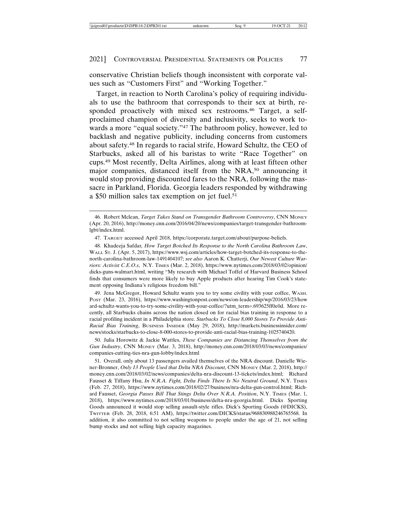conservative Christian beliefs though inconsistent with corporate values such as "Customers First" and "Working Together."

Target, in reaction to North Carolina's policy of requiring individuals to use the bathroom that corresponds to their sex at birth, responded proactively with mixed sex restrooms.<sup>46</sup> Target, a selfproclaimed champion of diversity and inclusivity, seeks to work towards a more "equal society."<sup>47</sup> The bathroom policy, however, led to backlash and negative publicity, including concerns from customers about safety.48 In regards to racial strife, Howard Schultz, the CEO of Starbucks, asked all of his baristas to write "Race Together" on cups.49 Most recently, Delta Airlines, along with at least fifteen other major companies, distanced itself from the NRA,50 announcing it would stop providing discounted fares to the NRA, following the massacre in Parkland, Florida. Georgia leaders responded by withdrawing a \$50 million sales tax exemption on jet fuel.51

49. Jena McGregor, Howard Schultz wants you to try some civility with your coffee, WASH. POST (Mar. 23, 2016), https://www.washingtonpost.com/news/on-leadership/wp/2016/03/23/how ard-schultz-wants-you-to-try-some-civility-with-your-coffee/?utm\_term=.693625ff0e0d. More recently, all Starbucks chains across the nation closed on for racial bias training in response to a racial profiling incident in a Philadelphia store. *Starbucks To Close 8,000 Stores To Provide Anti-Racial Bias Training*, BUSINESS INSIDER (May 29, 2018), http://markets.businessinsider.com/ news/stocks/starbucks-to-close-8-000-stores-to-provide-anti-racial-bias-training-1025740420.

50. Julia Horowitz & Jackie Wattles, *These Companies are Distancing Themselves from the Gun Industry*, CNN MONEY (Mar. 3, 2018), http://money.cnn.com/2018/03/03/news/companies/ companies-cutting-ties-nra-gun-lobby/index.html

<sup>46.</sup> Robert Mclean, *Target Takes Stand on Transgender Bathroom Controversy*, CNN MONEY (Apr. 20, 2016), http://money.cnn.com/2016/04/20/news/companies/target-transgender-bathroomlgbt/index.html.

<sup>47.</sup> TARGET accessed April 2018, https://corporate.target.com/about/purpose-beliefs.

<sup>48.</sup> Khadeeja Safdar*, How Target Botched Its Response to the North Carolina Bathroom Law*, WALL ST. J. (Apr. 5, 2017), https://www.wsj.com/articles/how-target-botched-its-response-to-thenorth-carolina-bathroom-law-1491404107; *see also* Aaron K. Chatterji, *Our Newest Culture Warriors: Activist C.E.O.s*, N.Y. TIMES (Mar. 2, 2018), https://www.nytimes.com/2018/03/02/opinion/ dicks-guns-walmart.html, writing "My research with Michael Toffel of Harvard Business School finds that consumers were more likely to buy Apple products after hearing Tim Cook's statement opposing Indiana's religious freedom bill."

<sup>51.</sup> Overall, only about 13 passengers availed themselves of the NRA discount. Danielle Wiener-Bronner, *Only 13 People Used that Delta NRA Discount*, CNN MONEY (Mar. 2, 2018), http:// money.cnn.com/2018/03/02/news/companies/delta-nra-discount-13-tickets/index.html; Richard Fausset & Tiffany Hsu, *In N.R.A. Fight, Delta Finds There Is No Neutral Ground*, N.Y. TIMES (Feb. 27, 2018), https://www.nytimes.com/2018/02/27/business/nra-delta-gun-control.html; Richard Fausset, *Georgia Passes Bill That Stings Delta Over N.R.A. Position*, N.Y. TIMES (Mar. 1, 2018), https://www.nytimes.com/2018/03/01/business/delta-nra-georgia.html. Dicks Sporting Goods announced it would stop selling assault-style rifles. Dick's Sporting Goods (@DICKS), TWITTER (Feb. 28, 2018, 6:51 AM), https://twitter.com/DICKS/status/968830988246765568. In addition, it also committed to not selling weapons to people under the age of 21, not selling bump stocks and not selling high capacity magazines.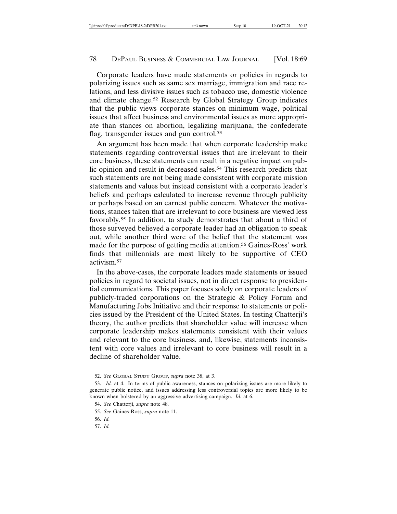Corporate leaders have made statements or policies in regards to polarizing issues such as same sex marriage, immigration and race relations, and less divisive issues such as tobacco use, domestic violence and climate change.52 Research by Global Strategy Group indicates that the public views corporate stances on minimum wage, political issues that affect business and environmental issues as more appropriate than stances on abortion, legalizing marijuana, the confederate flag, transgender issues and gun control.<sup>53</sup>

An argument has been made that when corporate leadership make statements regarding controversial issues that are irrelevant to their core business, these statements can result in a negative impact on public opinion and result in decreased sales.<sup>54</sup> This research predicts that such statements are not being made consistent with corporate mission statements and values but instead consistent with a corporate leader's beliefs and perhaps calculated to increase revenue through publicity or perhaps based on an earnest public concern. Whatever the motivations, stances taken that are irrelevant to core business are viewed less favorably.55 In addition, ta study demonstrates that about a third of those surveyed believed a corporate leader had an obligation to speak out, while another third were of the belief that the statement was made for the purpose of getting media attention.56 Gaines-Ross' work finds that millennials are most likely to be supportive of CEO activism.57

In the above-cases, the corporate leaders made statements or issued policies in regard to societal issues, not in direct response to presidential communications. This paper focuses solely on corporate leaders of publicly-traded corporations on the Strategic & Policy Forum and Manufacturing Jobs Initiative and their response to statements or policies issued by the President of the United States. In testing Chatterji's theory, the author predicts that shareholder value will increase when corporate leadership makes statements consistent with their values and relevant to the core business, and, likewise, statements inconsistent with core values and irrelevant to core business will result in a decline of shareholder value.

<sup>52.</sup> *See* GLOBAL STUDY GROUP, *supra* note 38, at 3.

<sup>53.</sup> *Id.* at 4. In terms of public awareness, stances on polarizing issues are more likely to generate public notice, and issues addressing less controversial topics are more likely to be known when bolstered by an aggressive advertising campaign. *Id.* at 6.

<sup>54.</sup> *See* Chatterji, *supra* note 48.

<sup>55.</sup> *See* Gaines-Ross, *supra* note 11.

<sup>56.</sup> *Id.*

<sup>57.</sup> *Id.*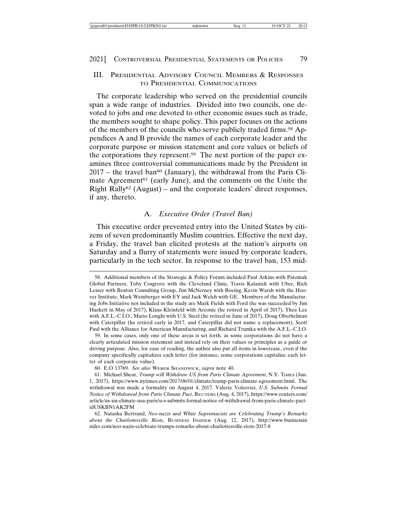## III. PRESIDENTIAL ADVISORY COUNCIL MEMBERS & RESPONSES TO PRESIDENTIAL COMMUNICATIONS

The corporate leadership who served on the presidential councils span a wide range of industries. Divided into two councils, one devoted to jobs and one devoted to other economic issues such as trade, the members sought to shape policy. This paper focuses on the actions of the members of the councils who serve publicly traded firms.<sup>58</sup> Appendices A and B provide the names of each corporate leader and the corporate purpose or mission statement and core values or beliefs of the corporations they represent.59 The next portion of the paper examines three controversial communications made by the President in  $2017$  – the travel ban<sup>60</sup> (January), the withdrawal from the Paris Climate Agreement<sup>61</sup> (early June), and the comments on the Unite the Right Rally<sup>62</sup> (August) – and the corporate leaders' direct responses, if any, thereto.

## A. *Executive Order (Travel Ban)*

This executive order prevented entry into the United States by citizens of seven predominantly Muslim countries. Effective the next day, a Friday, the travel ban elicited protests at the nation's airports on Saturday and a flurry of statements were issued by corporate leaders, particularly in the tech sector. In response to the travel ban, 153 mid-

<sup>58.</sup> Additional members of the Strategic & Policy Forum included Paul Atkins with Patomak Global Partners, Toby Cosgrove with the Cleveland Clinic, Travis Kalanick with Uber, Rich Lesser with Boston Consulting Group, Jim McNerney with Boeing, Kevin Warsh with the Hoover Institute, Mark Weinberger with EY and Jack Welch with GE. Members of the Manufacturing Jobs Initiative not included in the study are Mark Fields with Ford (he was succeeded by Jim Hackett in May of 2017), Klaus Kleinfeld with Arconic (he retired in April of 2017), Thea Lee with A.F.L.-C.I.O., Mario Longhi with U.S. Steel (he retired in June of 2017), Doug Oberhelman with Caterpillar (he retired early in 2017, and Caterpillar did not name a replacement), Scott Paul with the Alliance for American Manufacturing, and Richard Trumka with the A.F.L.-C.I.O.

<sup>59.</sup> In some cases, only one of these areas is set forth, as some corporations do not have a clearly articulated mission statement and instead rely on their values or principles as a guide or driving purpose. Also, for ease of reading, the author also put all items in lowercase, even if the company specifically capitalizes each letter (for instance, some corporations capitalize each letter of each corporate value).

<sup>60.</sup> E.O 13769. *See also* WEBER SHANDWICK, *supra* note 40.

<sup>61.</sup> Michael Shear, *Trump will Withdraw US from Paris Climate Agreement*, N.Y. TIMES (Jun. 1, 2017), https://www.nytimes.com/2017/06/01/climate/trump-paris-climate-agreement.html. The withdrawal was made a formality on August 4, 2017. Valerie Volcovici, *U.S. Submits Formal Notice of Withdrawal from Paris Climate Pact*, REUTERS (Aug. 4, 2017), https://www.reuters.com/ article/us-un-climate-usa-paris/u-s-submits-formal-notice-of-withdrawal-from-paris-climate-pactidUSKBN1AK2FM

<sup>62.</sup> Natasha Bertrand, *Neo-nazis and White Supremacists are Celebrating Trump's Remarks about the Charlottesville Riots*, BUSINESS INSIDER (Aug. 12, 2017), http://www.businessin sider.com/neo-nazis-celebrate-trumps-remarks-about-charlottesville-riots-2017-8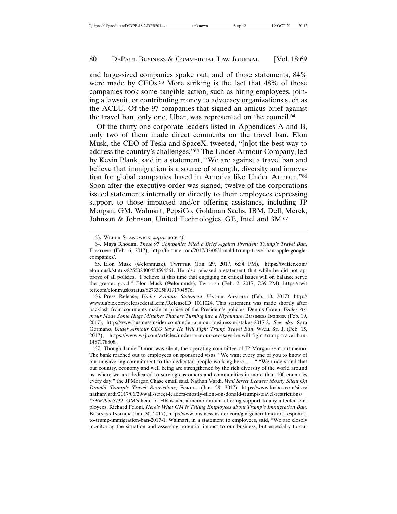and large-sized companies spoke out, and of those statements, 84% were made by CEOs.63 More striking is the fact that 48% of those companies took some tangible action, such as hiring employees, joining a lawsuit, or contributing money to advocacy organizations such as the ACLU. Of the 97 companies that signed an amicus brief against the travel ban, only one, Uber, was represented on the council.64

Of the thirty-one corporate leaders listed in Appendices A and B, only two of them made direct comments on the travel ban. Elon Musk, the CEO of Tesla and SpaceX, tweeted, "[n]ot the best way to address the country's challenges."65 The Under Armour Company, led by Kevin Plank, said in a statement, "We are against a travel ban and believe that immigration is a source of strength, diversity and innovation for global companies based in America like Under Armour."66 Soon after the executive order was signed, twelve of the corporations issued statements internally or directly to their employees expressing support to those impacted and/or offering assistance, including JP Morgan, GM, Walmart, PepsiCo, Goldman Sachs, IBM, Dell, Merck, Johnson & Johnson, United Technologies, GE, Intel and 3M.67

<sup>63.</sup> WEBER SHANDWICK, *supra* note 40.

<sup>64.</sup> Maya Rhodan, *These 97 Companies Filed a Brief Against President Trump's Travel Ban*, FORTUNE (Feb. 6, 2017), http://fortune.com/2017/02/06/donald-trump-travel-ban-apple-googlecompanies/.

<sup>65.</sup> Elon Musk (@elonmusk), TWITTER (Jan. 29, 2017, 6:34 PM), https://twitter.com/ elonmusk/status/825502400454594561. He also released a statement that while he did not approve of all policies, "I believe at this time that engaging on critical issues will on balance serve the greater good." Elon Musk (@elonmusk), TWITTER (Feb. 2, 2017, 7:39 PM), https://twit ter.com/elonmusk/status/827330589191704576,

<sup>66.</sup> Press Release, *Under Armour Statement*, UNDER ARMOUR (Feb. 10, 2017), http:// www.uabiz.com/releasedetail.cfm?ReleaseID=1011024. This statement was made shortly after backlash from comments made in praise of the President's policies. Dennis Green, *Under Armour Made Some Huge Mistakes That are Turning into a Nightmare*, BUSINESS INSIDER (Feb. 19, 2017), http://www.businessinsider.com/under-armour-business-mistakes-2017-2. *See also* Sara Germano, *Under Armour CEO Says He Will Fight Trump Travel Ban*, WALL ST. J. (Feb. 15, 2017), https://www.wsj.com/articles/under-armour-ceo-says-he-will-fight-trump-travel-ban-1487178808.

<sup>67.</sup> Though Jamie Dimon was silent, the operating committee of JP Morgan sent out memo. The bank reached out to employees on sponsored visas: "We want every one of you to know of our unwavering commitment to the dedicated people working here . . .." "We understand that our country, economy and well being are strengthened by the rich diversity of the world around us, where we are dedicated to serving customers and communities in more than 100 countries every day," the JPMorgan Chase email said. Nathan Vardi, *Wall Street Leaders Mostly Silent On Donald Trump's Travel Restrictions*, FORBES (Jan. 29, 2017), https://www.forbes.com/sites/ nathanvardi/2017/01/29/wall-street-leaders-mostly-silent-on-donald-trumps-travel-restrictions/ #736e295e5732. GM's head of HR issued a memorandum offering support to any affected employees. Richard Feloni, *Here's What GM is Telling Employees about Trump's Immigration Ban,* BUSINESS INSIDER (Jan. 30, 2017), http://www.businessinsider.com/gm-general-motors-respondsto-trump-immigration-ban-2017-1. Walmart, in a statement to employees, said, "We are closely

monitoring the situation and assessing potential impact to our business, but especially to our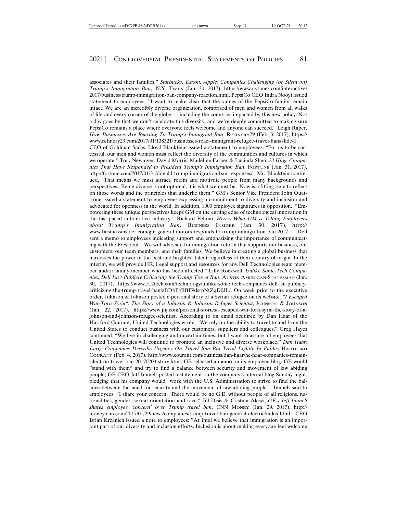associates and their families." *Starbucks, Exxon, Apple: Companies Challenging (or Silent on) Trump's Immigration Ban*, N.Y. TIMES (Jan. 30, 2017), https://www.nytimes.com/interactive/ 2017/business/trump-immigration-ban-company-reaction.html. PepsiCo CEO Indra Nooyi issued statement to employees, "I want to make clear that the values of the PepsiCo family remain intact. We are an incredibly diverse organization, comprised of men and women from all walks of life and every corner of the globe — including the countries impacted by this new policy. Not a day goes by that we don't celebrate this diversity, and we're deeply committed to making sure PepsiCo remains a place where everyone feels welcome and anyone can succeed." Leigh Raper, *How Businesses Are Reacting To Trump's Immigrant Ban*, REFINERY29 (Feb. 3, 2017), https:// www.refinery29.com/2017/01/138321/businesses-react-immigrant-refugee-travel-ban#slide-1. CEO of Goldman Sachs, Lloyd Blankfein, issued a statement to employees: "For us to be successful, our men and women must reflect the diversity of the communities and cultures in which we operate." Tory Newmyer, David Morris, Madeline Farber & Lucinda Shen, *23 Huge Companies That Have Responded to President Trump's Immigration Ban*, FORTUNE (Jan. 31, 2017), http://fortune.com/2017/01/31/donald-trump-immigration-ban-responses/. Mr. Blankfein continued, "That means we must attract, retain and motivate people from many backgrounds and perspectives. Being diverse is not optional; it is what we must be. Now is a fitting time to reflect on those words and the principles that underlie them." GM's Senior Vice President John Quattrone issued a statement to employees expressing a commitment to diversity and inclusion and advocated for openness in the world. In addition, 1000 employee signatures in opposition. "Empowering these unique perspectives keeps GM on the cutting edge of technological innovation in the fast-paced automotive industry." Richard Felloni, *Here's What GM is Telling Employees about Trump's Immigration Ban*, BUSINESS INSIDER (Jan. 30, 2017), http:// www.businessinsider.com/gm-general-motors-responds-to-trump-immigration-ban-2017-1. Dell sent a memo to employees indicating support and emphasizing the importance of communicating with the President. "We will advocate for immigration reform that supports our business, our customers, our team members, and their families. We believe in creating a global business that harnesses the power of the best and brightest talent regardless of their country of origin. In the interim, we will provide HR, Legal support and resources for any Dell Technologies team member and/or family member who has been affected." Lilly Rockwell, *Unlike Some Tech Companies, Dell Isn't Publicly Criticizing the Trump Travel Ban*, AUSTIN AMERICAN-STATESMAN (Jan. 30, 2017), https://www.512tech.com/technology/unlike-some-tech-companies-dell-isn-publiclycriticizing-the-trump-travel-ban/zBDbPgBBF9dsrpNtZqD0JL/. On week prior to the executive order, Johnson & Johnson posted a personal story of a Syrian refugee on its website. *"I Escaped War-Torn Syria": The Story of a Johnson & Johnson Refugee Scientist*, Johnson & Johnson (Jan. 22, 2017)*,* https://www.jnj.com/personal-stories/i-escaped-war-torn-syria-the-story-of-ajohnson-and-johnson-refugee-scientist. According to an email acquired by Dan Haar of the Hartford Courant, United Technologies wrote, "We rely on the ability to travel to and from the United States to conduct business with our customers, suppliers and colleagues." Greg Hayes continued, "We live in challenging and uncertain times, but I want to assure all employees that United Technologies will continue to promote an inclusive and diverse workplace." *Dan Haar: Large Companies Describe Urgency On Travel Ban But Tread Lightly In Public*, HARTFORD COURANT (Feb. 4, 2017), http://www.courant.com/business/dan-haar/hc-haar-companies-remainsilent-on-travel-ban-20170203-story.html. GE released a memo on its employee blog: GE would "stand with them" and try to find a balance between security and movement of law abiding people; GE CEO Jeff Immelt posted a statement on the company's internal blog Sunday night, pledging that his company would "work with the U.S. Administration to strive to find the balance between the need for security and the movement of law abiding people." Immelt said to employees, "I share your concern. There would be no G.E. without people of all religions, nationalities, gender, sexual orientation and race." Jill Disis & Cristina Alesci, *GE's Jeff Immelt shares employee 'concern' over Trump travel ban*, CNN MONEY (Jan. 29, 2017), http:// money.cnn.com/2017/01/29/news/companies/trump-travel-ban-general-electric/index.html. CEO Brian Krzanich issued a note to employees: "At Intel we believe that immigration is an important part of our diversity and inclusion efforts. Inclusion is about making everyone feel welcome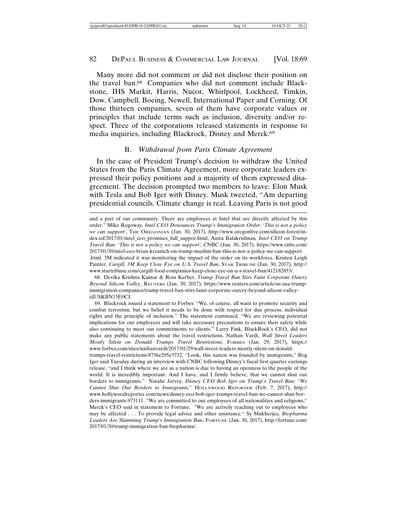Many more did not comment or did not disclose their position on the travel ban.68 Companies who did not comment include Blackstone, IHS Markit, Harris, Nucor, Whirlpool, Lockheed, Timkin, Dow, Campbell, Boeing, Newell, International Paper and Corning. Of those thirteen companies, seven of them have corporate values or principles that include terms such as inclusion, diversity and/or respect. Three of the corporations released statements in response to media inquiries, including Blackrock, Disney and Merck.69

## B. *Withdrawal from Paris Climate Agreement*

In the case of President Trump's decision to withdraw the United States from the Paris Climate Agreement, more corporate leaders expressed their policy positions and a majority of them expressed disagreement. The decision prompted two members to leave: Elon Musk with Tesla and Bob Iger with Disney. Musk tweeted, "Am departing presidential councils. Climate change is real. Leaving Paris is not good

68. Devika Krishna Kumar & Ross Kerber, *Trump Travel Ban Stirs Faint Corporate Outcry Beyond Silicon Valley*, REUTERS (Jan. 30, 2017), https://www.reuters.com/article/us-usa-trumpimmigration-companies/trump-travel-ban-stirs-faint-corporate-outcry-beyond-silicon-valleyidUSKBN15E0CJ.

69. Blackrock issued a statement to Forbes: "We, of course, all want to promote security and combat terrorism, but we belief it needs to be done with respect for due process, individual rights and the principle of inclusion." The statement continued, "We are reviewing potential implications for our employees and will take necessary precautions to ensure their safety while also continuing to meet our commitments to clients." Larry Fink, BlackRock's CEO, did not make any public statements about the travel restrictions. Nathan Vardi, *Wall Street Leaders Mostly Silent on Donald Trumps Travel Restrictions*, FORBES (Jan. 29, 2017), https:// www.forbes.com/sites/nathanvardi/2017/01/29/wall-street-leaders-mostly-silent-on-donaldtrumps-travel-restrictions/#736e295e5732. "Look, this nation was founded by immigrants," Bog Iger said Tuesday during an interview with CNBC following Disney's fiscal first-quarter earnings release, "and I think where we are as a nation is due to having an openness to the people of the world. It is incredibly important. And I have, and I firmly believe, that we cannot shut our borders to immigrants." Natalie Jarvey, *Disney CEO Bob Iger on Trump's Travel Ban: "We*

and a part of our community. There are employees at Intel that are directly affected by this order." Mike Rogoway*, Intel CEO Denounces Trump's Immigration Order: 'This is not a policy we can support'*, THE OREGONIAN (Jan. 30, 2017), http://www.oregonlive.com/silicon-forest/index.ssf/2017/01/intel\_ceo\_promises\_full\_suppor.html; Anita Balakrishnan*, Intel CEO on Trump Travel Ban: 'This is not a policy we can support'*, CNBC (Jan. 30, 2017), https://www.cnbc.com/ 2017/01/30/intel-ceo-brian-krzanich-on-trump-muslim-ban-this-is-not-a-policy-we-can-support .html. 3M indicated it was monitoring the impact of the order on its workforce. Kristen Leigh Painter, *Cargill, 3M Keep Close Eye on U.S. Travel Ban*, STAR TRIBUNE (Jan. 30, 2017), http:// www.startribune.com/cargill-food-companies-keep-close-eye-on-u-s-travel-ban/412182853/.

*Cannot Shut Our Borders to Immigrants,*" HOLLYWOOD REPORTER (Feb. 7, 2017), http:// www.hollywoodreporter.com/news/disney-ceo-bob-iger-trumps-travel-ban-we-cannot-shut-borders-immigrants-973111. "We are committed to our employees of all nationalities and religions," Merck's CEO said in statement to Fortune. "We are actively reaching out to employees who may be affected . . . To provide legal advice and other assistance." Sy Mukherjee*, Biopharma Leaders Are Slamming Trump's Immigration Ban*, FORTUNE (Jan. 30, 2017), http://fortune.com/ 2017/01/30/trump-immigration-ban-biopharma/.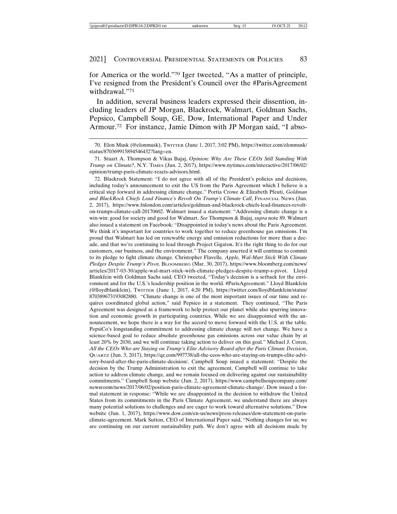for America or the world."70 Iger tweeted, "As a matter of principle, I've resigned from the President's Council over the #ParisAgreement withdrawal."71

In addition, several business leaders expressed their dissention, including leaders of JP Morgan, Blackrock, Walmart, Goldman Sachs, Pepsico, Campbell Soup, GE, Dow, International Paper and Under Armour.72 For instance, Jamie Dimon with JP Morgan said, "I abso-

72. Blackrock Statement: "I do not agree with all of the President's policies and decisions, including today's announcement to exit the US from the Paris Agreement which I believe is a critical step forward in addressing climate change." Portia Crowe & Elizabeth Pfeuti, *Goldman* and BlackRock Chiefs Lead Finance's Revolt On Trump's Climate Call, FINANCIAL NEWS (Jun. 2, 2017), https://www.fnlondon.com/articles/goldman-and-blackrock-chiefs-lead-finances-revolton-trumps-climate-call-20170602. Walmart issued a statement: "Addressing climate change is a win-win: good for society and good for Walmart. *See* Thompson & Bajaj, *supra* note 89. Walmart also issued a statement on Facebook: "Disappointed in today's news about the Paris Agreement. We think it's important for countries to work together to reduce greenhouse gas emissions. I'm proud that Walmart has led on renewable energy and emission reductions for more than a decade, and that we're continuing to lead through Project Gigaton. It's the right thing to do for our customers, our business, and the environment." The company asserted it will continue to commit to its pledge to fight climate change. Christopher Flavelle*, Apple, Wal-Mart Stick With Climate Pledges Despite Trump's Pivot,* BLOOMBERG (Mar. 30, 2017), https://www.bloomberg.com/news/ articles/2017-03-30/apple-wal-mart-stick-with-climate-pledges-despite-trump-s-pivot. Lloyd Blankfein with Goldman Sachs said, CEO tweeted, "Today's decision is a setback for the environment and for the U.S.'s leadership position in the world. #ParisAgreement." Lloyd Blankfein (@lloydblankfein), TWITTER (June 1, 2017, 4:20 PM), https://twitter.com/lloydblankfein/status/ 870389673193082880. "Climate change is one of the most important issues of our time and requires coordinated global action," said Pepsico in a statement. They continued, "The Paris Agreement was designed as a framework to help protect our planet while also spurring innovation and economic growth in participating countries. While we are disappointed with the announcement, we hope there is a way for the accord to move forward with the U.S. at the table. PepsiCo's longstanding commitment to addressing climate change will not change. We have a science-based goal to reduce absolute greenhouse gas emissions across our value chain by at least 20% by 2030, and we will continue taking action to deliver on this goal." Michael J. Coren, *All the CEOs Who are Staying on Trump's Elite Advisory Board after the Paris Climate Decision*, QUARTZ (Jun. 3, 2017), https://qz.com/997738/all-the-ceos-who-are-staying-on-trumps-elite-advisory-board-after-the-paris-climate-decision/. Campbell Soup issued a statement: "Despite the decision by the Trump Administration to exit the agreement, Campbell will continue to take action to address climate change, and we remain focused on delivering against our sustainability commitments." Campbell Soup website (Jun. 2, 2017), https://www.campbellsoupcompany.com/ newsroom/news/2017/06/02/position-paris-climate-agreement-climate-change/. Dow issued a formal statement in response: "While we are disappointed in the decision to withdraw the United States from its commitments in the Paris Climate Agreement, we understand there are always many potential solutions to challenges and are eager to work toward alternative solutions." Dow website (Jun. 1, 2017), https://www.dow.com/en-us/news/press-releases/dow-statement-on-parisclimate-agreement. Mark Sutton, CEO of International Paper said, "Nothing changes for us; we are continuing on our current sustainability path. We don't agree with all decisions made by

<sup>70.</sup> Elon Musk (@elonmusk), TWITTER (June 1, 2017, 3:02 PM), https://twitter.com/elonmusk/ status/870369915894546432?lang=en.

<sup>71.</sup> Stuart A. Thompson & Vikas Bajaj, *Opinion: Why Are These CEOs Still Standing With Trump on Climate?*, N.Y. TIMES (Jun. 2, 2017), https://www.nytimes.com/interactive/2017/06/02/ opinion/trump-paris-climate-reacts-advisors.html.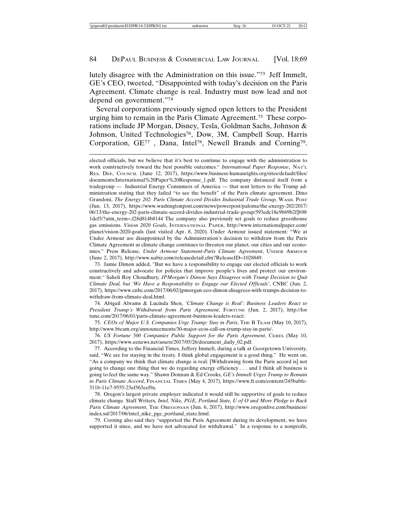lutely disagree with the Administration on this issue."73 Jeff Immelt, GE's CEO, tweeted, "Disappointed with today's decision on the Paris Agreement. Climate change is real. Industry must now lead and not depend on government."74

Several corporations previously signed open letters to the President urging him to remain in the Paris Climate Agreement.75 These corporations include JP Morgan, Disney, Tesla, Goldman Sachs, Johnson & Johnson, United Technologies<sup>76</sup>, Dow, 3M, Campbell Soup, Harris Corporation, GE77 , Dana, Intel78, Newell Brands and Corning79.

73. Jamie Dimon added, "But we have a responsibility to engage our elected officials to work constructively and advocate for policies that improve people's lives and protect our environment." Saheli Roy Choudhury*, JPMorgan's Dimon Says Disagrees with Trump Decision to Quit Climate Deal, but 'We Have a Responsibility to Engage our Elected Officials'*, CNBC (Jun. 2, 2017), https://www.cnbc.com/2017/06/02/jpmorgan-ceo-dimon-disagrees-with-trumps-decision-towithdraw-from-climate-deal.html.

74. Abigail Abrams & Lucinda Shen, *'Climate Change is Real': Business Leaders React to President Trump's Withdrawal from Paris Agreement*, FORTUNE (Jun. 2, 2017), http://for tune.com/2017/06/01/paris-climate-agreement-business-leaders-react/.

75. *CEOs of Major U.S. Companies Urge Trump: Stay in Paris*, THE B TEAM (May 10, 2017), http://www.bteam.org/announcements/30-major-ceos-call-on-trump-stay-in-paris/.

76. *US Fortune 500 Companies Public Support for the Paris Agreement*, CERES (May 10, 2017), https://www.eenews.net/assets/2017/05/26/document\_daily\_02.pdf.

77. According to the Financial Times, Jeffery Immelt, during a talk at Georgetown University, said, "We are for staying in the treaty. I think global engagement is a good thing." He went on, "As a company we think that climate change is real. [Withdrawing from the Paris accord is] not going to change one thing that we do regarding energy efficiency . . . and I think all business is going to feel the same way." Shawn Donnan & Ed Crooks, *GE's Immelt Urges Trump to Remain in Paris Climate Accord*, FINANCIAL TIMES (May 4, 2017), https://www.ft.com/content/245babfe-311b-11e7-9555-23ef563ecf9a.

78. Oregon's largest private employer indicated it would still be supportive of goals to reduce climate change*.* Staff Writers*, Intel, Nike, PGE, Portland State, U of O and More Pledge to Back* Paris Climate Agreement, THE OREGONIAN (Jun. 6, 2017), http://www.oregonlive.com/business/ index.ssf/2017/06/intel\_nike\_pge\_portland\_state.html.

79. Corning also said they "supported the Paris Agreement during its development, we have supported it since, and we have not advocated for withdrawal." In a response to a nonprofit,

elected officials, but we believe that it's best to continue to engage with the administration to work constructively toward the best possible outcomes." *International Paper Response*, NAT'L RES. DEF, COUNCIL (June 12, 2017), https://www.business-humanrights.org/sites/default/files/ documents/International%20Paper%20Response\_1.pdf. The company distanced itself from a tradegroup — Industrial Energy Consumers of America — that sent letters to the Trump administration stating that they failed "to see the benefit" of the Paris climate agreement. Dino Grandoni, *The Energy 202: Paris Climate Accord Divides Industrial Trade Group,* WASH. POST (Jun. 13, 2017), https://www.washingtonpost.com/news/powerpost/paloma/the-energy-202/2017/ 06/13/the-energy-202-paris-climate-accord-divides-industrial-trade-group/593edc18e9b69b2f]b98 1dcf5/?utm\_term=.f28d814b8144 The company also previously set goals to reduce greenhouse gas emissions. *Vision 2020 Goals*, INTERNATIONAL PAPER, http://www.internationalpaper.com/ planet/vision-2020-goals (last visited Apr. 8, 2020). Under Armour issued statement: "We at Under Armour are disappointed by the Administration's decision to withdraw from the Paris Climate Agreement as climate change continues to threaten our planet, our cities and our economies." Press Release, *Under Armour Statement-Paris Climate Agreement*, UNDER ARMOUR (June 2, 2017), http://www.uabiz.com/releasedetail.cfm?ReleaseID=1028849.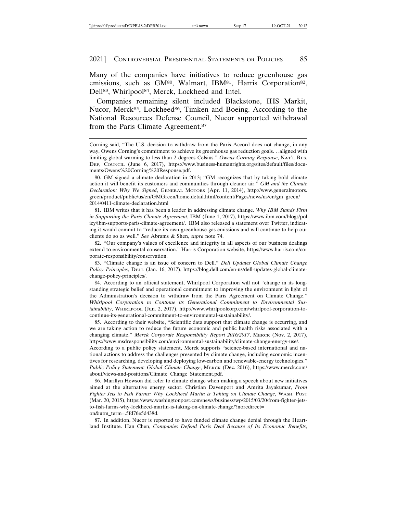Many of the companies have initiatives to reduce greenhouse gas emissions, such as GM<sup>80</sup>, Walmart, IBM<sup>81</sup>, Harris Corporation<sup>82</sup>, Dell<sup>83</sup>, Whirlpool<sup>84</sup>, Merck, Lockheed and Intel.

Companies remaining silent included Blackstone, IHS Markit, Nucor, Merck<sup>85</sup>, Lockheed<sup>86</sup>, Timken and Boeing. According to the National Resources Defense Council, Nucor supported withdrawal from the Paris Climate Agreement.87

81. IBM writes that it has been a leader in addressing climate change. *Why IBM Stands Firm in Supporting the Paris Climate Agreement*, IBM (June 1, 2017), https://www.ibm.com/blogs/pol icy/ibm-supports-paris-climate-agreement/. IBM also released a statement over Twitter, indicating it would commit to "reduce its own greenhouse gas emissions and will continue to help our clients do so as well." *See* Abrams & Shen, *supra* note 74.

82. "Our company's values of excellence and integrity in all aspects of our business dealings extend to environmental conservation." Harris Corporation website, https://www.harris.com/cor porate-responsibility/conservation.

83. "Climate change is an issue of concern to Dell." *Dell Updates Global Climate Change Policy Principles*, DELL (Jan. 16, 2017), https://blog.dell.com/en-us/dell-updates-global-climatechange-policy-principles/.

84. According to an official statement, Whirlpool Corporation will not "change in its longstanding strategic belief and operational commitment to improving the environment in light of the Administration's decision to withdraw from the Paris Agreement on Climate Change." *Whirlpool Corporation to Continue its Generational Commitment to Environmental Sustainability*, WHIRLPOOL (Jun. 2, 2017), http://www.whirlpoolcorp.com/whirlpool-corporation-tocontinue-its-generational-commitment-to-environmental-sustainability/.

85. According to their website, "Scientific data support that climate change is occurring, and we are taking action to reduce the future economic and public health risks associated with a changing climate." *Merck Corporate Responsibility Report 2016/2017*, MERCK (Nov. 2, 2017), https://www.msdresponsibility.com/environmental-sustainability/climate-change-energy-use/.

According to a public policy statement, Merck supports "science-based international and national actions to address the challenges presented by climate change, including economic incentives for researching, developing and deploying low-carbon and renewable-energy technologies." *Public Policy Statement: Global Climate Change*, MERCK (Dec. 2016), https://www.merck.com/ about/views-and-positions/Climate\_Change\_Statement.pdf.

86. Marillyn Hewson did refer to climate change when making a speech about new initiatives aimed at the alternative energy sector. Christian Davenport and Amrita Jayakumar, *From Fighter Jets to Fish Farms: Why Lockheed Martin is Taking on Climate Change*, WASH. POST (Mar. 20, 2015), https://www.washingtonpost.com/news/business/wp/2015/03/20/from-fighter-jetsto-fish-farms-why-lockheed-martin-is-taking-on-climate-change/?noredirect= on&utm\_term=.5fd76e5d438d.

87. In addition, Nucor is reported to have funded climate change denial through the Heartland Institute. Han Chen, *Companies Defend Paris Deal Because of Its Economic Benefits*,

Corning said, "The U.S. decision to withdraw from the Paris Accord does not change, in any way, Owens Corning's commitment to achieve its greenhouse gas reduction goals. . .aligned with limiting global warming to less than 2 degrees Celsius." *Owens Corning Response*, NAT'L RES. DEF, COUNCIL (June 6, 2017), https://www.business-humanrights.org/sites/default/files/documents/Owens%20Corning%20Response.pdf.

<sup>80.</sup> GM signed a climate declaration in 2013; "GM recognizes that by taking bold climate action it will benefit its customers and communities through cleaner air." *GM and the Climate Declaration: Why We Signed*, GENERAL MOTORS (Apr. 11, 2014), http://www.generalmotors. green/product/public/us/en/GMGreen/home.detail.html/content/Pages/news/us/en/gm\_green/ 2014/0411-climate-declaration.html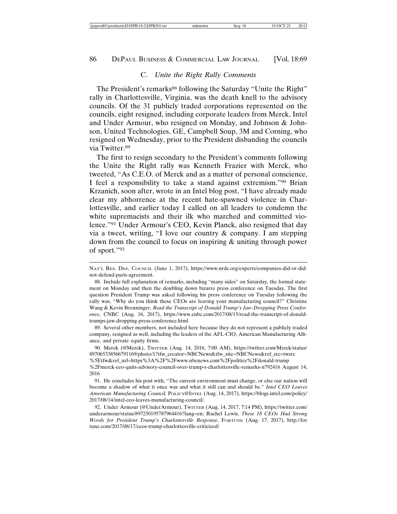## C. *Unite the Right Rally Comments*

The President's remarks<sup>88</sup> following the Saturday "Unite the Right" rally in Charlottesville, Virginia, was the death knell to the advisory councils. Of the 31 publicly traded corporations represented on the councils, eight resigned, including corporate leaders from Merck, Intel and Under Armour, who resigned on Monday, and Johnson & Johnson, United Technologies, GE, Campbell Soup, 3M and Corning, who resigned on Wednesday, prior to the President disbanding the councils via Twitter.89

The first to resign secondary to the President's comments following the Unite the Right rally was Kenneth Frazier with Merck, who tweeted, "As C.E.O. of Merck and as a matter of personal conscience, I feel a responsibility to take a stand against extremism."90 Brian Krzanich, soon after, wrote in an Intel blog post, "I have already made clear my abhorrence at the recent hate-spawned violence in Charlottesville, and earlier today I called on all leaders to condemn the white supremacists and their ilk who marched and committed violence."91 Under Armour's CEO, Kevin Planck, also resigned that day via a tweet, writing, "I love our country & company. I am stepping down from the council to focus on inspiring & uniting through power of sport."92

89. Several other members, not included here because they do not represent a publicly traded company, resigned as well, including the leaders of the AFL-CIO, American Manufacturing Alliance, and private equity firms.

90. Merck (@Merck), TWITTER (Aug. 14, 2016, 7:00 AM), https://twitter.com/Merck/status/ 897065338566791169/photo/1?tfw\_creator=NBCNews&tfw\_site=NBCNews&ref\_src=twsrc %5Etfw&ref\_url=https%3A%2F%2Fwww.nbcnews.com%2Fpolitics%2Fdonald-trump %2Fmerck-ceo-quits-advisory-council-over-trump-s-charlottesville-remarks-n792416 August 14, 2016

NAT'L RES. DEF, COUNCIL (June 1, 2017), https://www.nrdc.org/experts/companies-did-or-didnot-defend-paris-agreement.

<sup>88.</sup> Include full explanation of remarks, including "many sides" on Saturday, the formal statement on Monday and then the doubling down bizarre press conference on Tuesday. The first question President Trump was asked following his press conference on Tuesday following the rally was, "Why do you think these CEOs are leaving your manufacturing council?" Christine Wang & Kevin Breuninger*, Read the Transcript of Donald Trump's Jaw-Dropping Press Conference*, CNBC (Aug. 16, 2017), https://www.cnbc.com/2017/08/15/read-the-transcript-of-donaldtrumps-jaw-dropping-press-conference.html

<sup>91.</sup> He concludes his post with, "The current environment must change, or else our nation will become a shadow of what it once was and what it still can and should be." *Intel CEO Leaves American Manufacturing Council,* POLICY@INTEL (Aug. 14, 2017), https://blogs.intel.com/policy/ 2017/08/14/intel-ceo-leaves-manufacturing-council/.

<sup>92.</sup> Under Armour (@UnderArmour), TWITTER (Aug. 14, 2017, 7:14 PM), https://twitter.com/ underarmour/status/897250195787964416?lang=en; Rachel Lewis, *These 18 CEOs Had Strong Words for President Trump's Charlottesville Response*, FORTUNE (Aug. 17, 2017), http://for tune.com/2017/08/17/ceos-trump-charlottesville-criticized/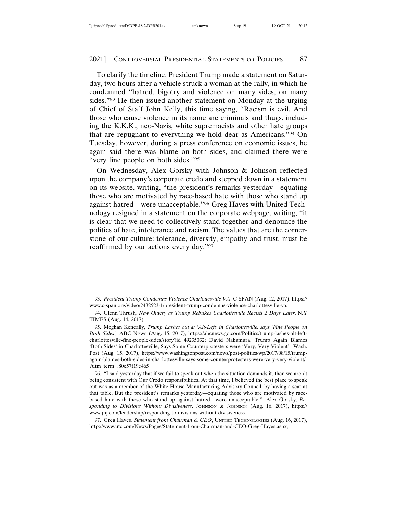To clarify the timeline, President Trump made a statement on Saturday, two hours after a vehicle struck a woman at the rally, in which he condemned "hatred, bigotry and violence on many sides, on many sides."93 He then issued another statement on Monday at the urging of Chief of Staff John Kelly, this time saying, "Racism is evil. And those who cause violence in its name are criminals and thugs, including the K.K.K., neo-Nazis, white supremacists and other hate groups that are repugnant to everything we hold dear as Americans."94 On Tuesday, however, during a press conference on economic issues, he again said there was blame on both sides, and claimed there were "very fine people on both sides."95

On Wednesday, Alex Gorsky with Johnson & Johnson reflected upon the company's corporate credo and stepped down in a statement on its website, writing, "the president's remarks yesterday—equating those who are motivated by race-based hate with those who stand up against hatred—were unacceptable."96 Greg Hayes with United Technology resigned in a statement on the corporate webpage, writing, "it is clear that we need to collectively stand together and denounce the politics of hate, intolerance and racism. The values that are the cornerstone of our culture: tolerance, diversity, empathy and trust, must be reaffirmed by our actions every day."97

<sup>93.</sup> *President Trump Condemns Violence Charlottesville VA*, C-SPAN (Aug. 12, 2017), https:// www.c-span.org/video/?432523-1/president-trump-condemns-violence-charlottesville-va.

<sup>94.</sup> Glenn Thrush*, New Outcry as Trump Rebukes Charlottesville Racists 2 Days Later*, N.Y TIMES (Aug. 14, 2017).

<sup>95.</sup> Meghan Keneally, *Trump Lashes out at 'Alt-Left' in Charlottesville, says 'Fine People on Both Sides',* ABC NEWS (Aug. 15, 2017), https://abcnews.go.com/Politics/trump-lashes-alt-leftcharlottesville-fine-people-sides/story?id=49235032; David Nakamura, Trump Again Blames 'Both Sides' in Charlottesville, Says Some Counterprotesters were 'Very, Very Violent', Wash. Post (Aug. 15, 2017), https://www.washingtonpost.com/news/post-politics/wp/2017/08/15/trumpagain-blames-both-sides-in-charlottesville-says-some-counterprotesters-were-very-very-violent/ ?utm\_term=.80e57f19e465

<sup>96. &</sup>quot;I said yesterday that if we fail to speak out when the situation demands it, then we aren't being consistent with Our Credo responsibilities. At that time, I believed the best place to speak out was as a member of the White House Manufacturing Advisory Council, by having a seat at that table. But the president's remarks yesterday—equating those who are motivated by racebased hate with those who stand up against hatred—were unacceptable." Alex Gorsky, *Responding to Divisions Without Divisiveness*, JOHNSON & JOHNSON (Aug. 16, 2017), https:// www.jnj.com/leadership/responding-to-divisions-without-divisiveness.

<sup>97.</sup> Greg Hayes*, Statement from Chairman & CEO*, UNITED TECHNOLOGIES (Aug. 16, 2017), http://www.utc.com/News/Pages/Statement-from-Chairman-and-CEO-Greg-Hayes.aspx,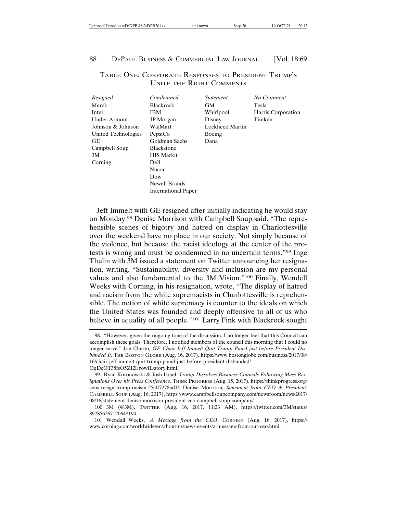| \\iciprod01\productn\D\DPB\18-2\DPB201.txt<br>$\sim$<br>Seg: 20<br>۹Ο.<br>70<br>unknown | 20:12<br>$\sim$ |
|-----------------------------------------------------------------------------------------|-----------------|
|-----------------------------------------------------------------------------------------|-----------------|

## TABLE ONE: CORPORATE RESPONSES TO PRESIDENT TRUMP'S UNITE THE RIGHT COMMENTS

| Resigned            | Condemned           | <i>Statement</i> | No Comment         |
|---------------------|---------------------|------------------|--------------------|
| Merck               | <b>Blackrock</b>    | GМ               | Tesla              |
| Intel               | <b>IBM</b>          | Whirlpool        | Harris Corporation |
| Under Armour        | <b>JP</b> Morgan    | Disney           | Timken             |
| Johnson & Johnson   | WalMart             | Lockheed Martin  |                    |
| United Technologies | PepsiCo             | Boeing           |                    |
| GЕ                  | Goldman Sachs       | Dana             |                    |
| Campbell Soup       | <b>Blackstone</b>   |                  |                    |
| 3M                  | <b>HIS Markit</b>   |                  |                    |
| Corning             | Dell                |                  |                    |
|                     | Nucor               |                  |                    |
|                     | Dow                 |                  |                    |
|                     | Newell Brands       |                  |                    |
|                     | International Paper |                  |                    |

Jeff Immelt with GE resigned after initially indicating he would stay on Monday.98 Denise Morrison with Campbell Soup said, "The reprehensible scenes of bigotry and hatred on display in Charlottesville over the weekend have no place in our society. Not simply because of the violence, but because the racist ideology at the center of the protests is wrong and must be condemned in no uncertain terms."99 Inge Thulin with 3M issued a statement on Twitter announcing her resignation, writing, "Sustainability, diversity and inclusion are my personal values and also fundamental to the 3M Vision."100 Finally, Wendell Weeks with Corning, in his resignation, wrote, "The display of hatred and racism from the white supremacists in Charlottesville is reprehensible. The notion of white supremacy is counter to the ideals on which the United States was founded and deeply offensive to all of us who believe in equality of all people."101 Larry Fink with Blackrock sought

<sup>98. &</sup>quot;However, given the ongoing tone of the discussion, I no longer feel that this Council can accomplish these goals. Therefore, I notified members of the council this morning that I could no longer serve." Jon Chesto*, GE Chair Jeff Immelt Quit Trump Panel just before President Disbanded It,* THE BOSTON GLOBE (Aug. 16, 2017), https://www.bostonglobe.com/business/2017/08/ 16/chair-jeff-immelt-quit-trump-panel-just-before-president-disbanded/

QqDcQT38fsO5ZI2lJrowfL/story.html.

<sup>99.</sup> Ryan Koronowski & Josh Israel, *Trump Dissolves Business Councils Following Mass Resignations Over his Press Conference,* THINK PROGRESS (Aug. 15, 2017), https://thinkprogress.org/ ceos-resign-trump-racism-25cff7278ad1/; Denise Morrison*, Statement from CEO & President*, CAMPBELL SOUP (Aug. 16, 2017), https://www.campbellsoupcompany.com/newsroom/news/2017/ 08/16/statement-denise-morrison-president-ceo-campbell-soup-company/.

<sup>100. 3</sup>M (@3M), TWITTER (Aug. 16, 2017, 11:23 AM), https://twitter.com/3M/status/ 897856267120648194.

<sup>101.</sup> Wendall Weeks, *A Message from the CEO*, CORNING (Aug. 16, 2017), https:// www.corning.com/worldwide/en/about-us/news-events/a-message-from-our-ceo.html.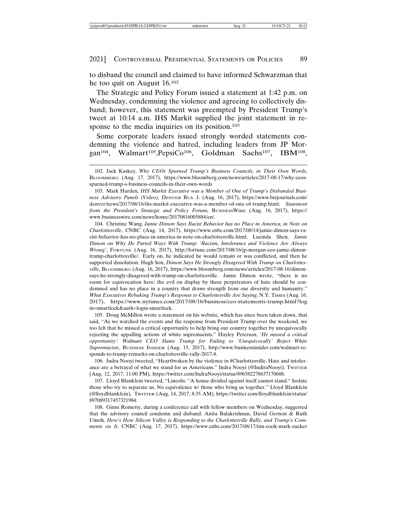to disband the council and claimed to have informed Schwarzman that he too quit on August 16.102

The Strategic and Policy Forum issued a statement at 1:42 p.m. on Wednesday, condemning the violence and agreeing to collectively disband; however, this statement was preempted by President Trump's tweet at 10:14 a.m. IHS Markit supplied the joint statement in response to the media inquiries on its position.<sup>103</sup>

Some corporate leaders issued strongly worded statements condemning the violence and hatred, including leaders from JP Morgan<sup>104</sup>, Walmart<sup>105</sup>, PepsiCo<sup>106</sup>, Goldman Sachs<sup>107</sup>, IBM<sup>108</sup>,

104. Christine Wang, *Jamie Dimon Says Racist Behavior has no Place in America, in Note on Charlottesville*, CNBC (Aug. 14, 2017), https://www.cnbc.com/2017/08/14/jamie-dimon-says-racist-behavior-has-no-place-in-america-in-note-on-charlottesville.html; Lucinda Shen*, Jamie Dimon on Why He Parted Ways With Trump: 'Racism, Intolerance and Violence Are Always Wrong'*, FORTUNE (Aug. 16, 2017), http://fortune.com/2017/08/16/jp-morgan-ceo-jamie-dimontrump-charlottesville/. Early on, he indicated he would remain or was conflicted, and then he supported dissolution. Hugh Son, *Dimon Says He Strongly Disagreed With Trump on Charlottesville*, BLOOMBERG (Aug. 16, 2017), https://www.bloomberg.com/news/articles/2017-08-16/dimonsays-he-strongly-disagreed-with-trump-on-charlottesville. Jamie Dimon wrote, "there is no room for equivocation here: the evil on display by these perpetrators of hate should be condemned and has no place in a country that draws strength from our diversity and humanity." *What Executives Rebuking Trump's Response to Charlottesville Are Saying*, N.Y. TIMES (Aug. 16, 2017), https://www.nytimes.com/2017/08/16/business/ceo-statements-trump.html?log in=smartlock&auth=login-smartlock.

105. Doug McMillon wrote a statement on his website, which has since been taken down, that said, "As we watched the events and the response from President Trump over the weekend, we too felt that he missed a critical opportunity to help bring our country together by unequivocally rejecting the appalling actions of white supremacists." Hayley Peterson, *'He missed a critical opportunity': Walmart CEO Slams Trump for Failing to 'Unequivocally' Reject White Supremacists*, BUSINESS INSIDER (Aug. 15, 2017), http://www.businessinsider.com/walmart-responds-to-trump-remarks-on-charlottesville-rally-2017-8.

106. Indra Nooyi tweeted, "Heartbroken by the violence in #Charlottesville. Hate and intolerance are a betrayal of what we stand for as Americans." Indra Nooyi (@IndiraNooyi), TwITTER (Aug. 12, 2017, 11:00 PM), https://twitter.com/IndraNooyi/status/896582278637170688.

107. Lloyd Blankfein tweeted, "Lincoln: "A house divided against itself cannot stand." Isolate those who try to separate us. No equivalence w/ those who bring us together." Lloyd Blankfein (@lloydblankfein), TWITTER (Aug. 14, 2017, 8:35 AM), https://twitter.com/lloydblankfein/status/ 897089317457321984.

108. Ginni Rometty, during a conference call with fellow members on Wednesday, suggested that the advisory council condemn and disband. Anita Balakrishnan, David Gernon & Ruth Umoh*, Here's How Silicon Valley is Responding to the Charlottesville Rally, and Trump's Comments on It*, CNBC (Aug. 17, 2017), https://www.cnbc.com/2017/08/17/tim-cook-mark-zucker

<sup>102.</sup> Jack Kaskey, *Why CEOs Spurned Trump's Business Councils, in Their Own Words,* BLOOMBERG (Aug. 17, 2017), https://www.bloomberg.com/news/articles/2017-08-17/why-ceosspurned-trump-s-business-councils-in-their-own-words

<sup>103.</sup> Mark Harden*, IHS Markit Executive was a Member of One of Trump's Disbanded Business Advisory Panels (Video),* DENVER BUS. J. (Aug. 16, 2017), https://www.bizjournals.com/ denver/news/2017/08/16/ihs-markit-executive-was-a-member-of-one-of-trump.html; *Statement from the President's Strategic and Policy Forum,* BUSINESSWIRE (Aug. 16, 2017), https:// www.businesswire.com/news/home/20170816005884/en/.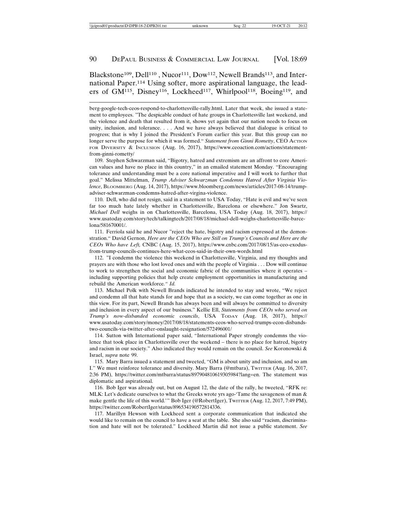## Blackstone<sup>109</sup>, Dell<sup>110</sup>, Nucor<sup>111</sup>, Dow<sup>112</sup>, Newell Brands<sup>113</sup>, and International Paper.114 Using softer, more aspirational language, the leaders of GM<sup>115</sup>, Disney<sup>116</sup>, Lockheed<sup>117</sup>, Whirlpool<sup>118</sup>, Boeing<sup>119</sup>, and

109. Stephen Schwarzman said, "Bigotry, hatred and extremism are an affront to core American values and have no place in this country," in an emailed statement Monday. "Encouraging tolerance and understanding must be a core national imperative and I will work to further that goal." Melissa Mittelman, *Trump Adviser Schwarzman Condemns Hatred After Virginia Violence*, BLOOMBERG (Aug. 14, 2017), https://www.bloomberg.com/news/articles/2017-08-14/trumpadviser-schwarzman-condemns-hatred-after-virgina-violence.

110. Dell, who did not resign, said in a statement to USA Today, "Hate is evil and we've seen far too much hate lately whether in Charlottesville, Barcelona or elsewhere." Jon Swartz, *Michael Dell* weighs in on Charlottesville, Barcelona, USA Today (Aug. 18, 2017), https:// www.usatoday.com/story/tech/talkingtech/2017/08/18/michael-dell-weighs-charlottesville-barcelona/581670001/.

111. Ferriola said he and Nucor "reject the hate, bigotry and racism expressed at the demonstration." David Gernon, *Here are the CEOs Who are Still on Trump's Councils and Here are the CEOs Who have Left,* CNBC (Aug. 15, 2017), https://www.cnbc.com/2017/08/15/as-ceo-exodusfrom-trump-councils-continues-here-what-ceos-said-in-their-own-words.html

112. "I condemn the violence this weekend in Charlottesville, Virginia, and my thoughts and prayers are with those who lost loved ones and with the people of Virginia . . . Dow will continue to work to strengthen the social and economic fabric of the communities where it operates – including supporting policies that help create employment opportunities in manufacturing and rebuild the American workforce*." Id.*

113. Michael Polk with Newell Brands indicated he intended to stay and wrote, "We reject and condemn all that hate stands for and hope that as a society, we can come together as one in this view. For its part, Newell Brands has always been and will always be committed to diversity and inclusion in every aspect of our business." Kellie Ell, *Statements from CEOs who served on Trump's now-disbanded economic councils*, USA TODAY (Aug. 18, 2017), https:// www.usatoday.com/story/money/2017/08/18/statements-ceos-who-served-trumps-econ-disbandstwo-councils-via-twitter-after-onslaught-resignation/572496001/

114. Sutton with International paper said, "International Paper strongly condemns the violence that took place in Charlottesville over the weekend – there is no place for hatred, bigotry and racism in our society." Also indicated they would remain on the council. *See* Koronowski & Israel, *supra* note 99.

115. Mary Barra issued a statement and tweeted, "GM is about unity and inclusion, and so am I." We must reinforce tolerance and diversity. Mary Barra (@mtbara), TWITTER (Aug. 16, 2017, 2:36 PM), https://twitter.com/mtbarra/status/897904810619305984?lang=en. The statement was diplomatic and aspirational.

116. Bob Iger was already out, but on August 12, the date of the rally, he tweeted, "RFK re: MLK: Let's dedicate ourselves to what the Greeks wrote yrs ago-'Tame the savageness of man & make gentle the life of this world.'" Bob Iger (@RobertIger), TWITTER (Aug. 12, 2017, 7:49 PM), https://twitter.com/RobertIger/status/896534190572814336.

117. Marillyn Hewson with Lockheed sent a corporate communication that indicated she would like to remain on the council to have a seat at the table. She also said "racism, discrimination and hate will not be tolerated." Lockheed Martin did not issue a public statement. *See*

berg-google-tech-ceos-respond-to-charlottesville-rally.html. Later that week, she issued a statement to employees. "The despicable conduct of hate groups in Charlottesville last weekend, and the violence and death that resulted from it, shows yet again that our nation needs to focus on unity, inclusion, and tolerance. . . . And we have always believed that dialogue is critical to progress; that is why I joined the President's Forum earlier this year. But this group can no longer serve the purpose for which it was formed." *Statement from Ginni Rometty*, CEO ACTION FOR DIVERSITY & INCLUSION (Aug. 16, 2017), https://www.ceoaction.com/actions/statementfrom-ginni-rometty/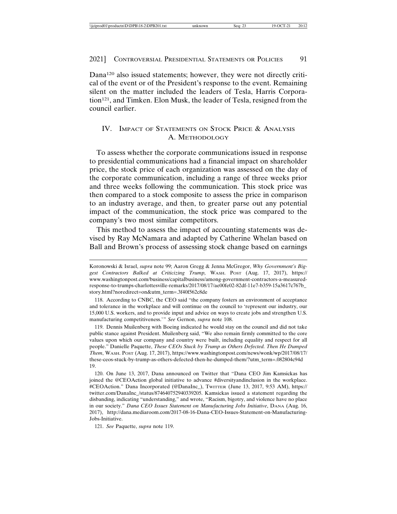Dana120 also issued statements; however, they were not directly critical of the event or of the President's response to the event. Remaining silent on the matter included the leaders of Tesla, Harris Corporation121, and Timken. Elon Musk, the leader of Tesla, resigned from the council earlier.

## IV. IMPACT OF STATEMENTS ON STOCK PRICE & ANALYSIS A. METHODOLOGY

To assess whether the corporate communications issued in response to presidential communications had a financial impact on shareholder price, the stock price of each organization was assessed on the day of the corporate communication, including a range of three weeks prior and three weeks following the communication. This stock price was then compared to a stock composite to assess the price in comparison to an industry average, and then, to greater parse out any potential impact of the communication, the stock price was compared to the company's two most similar competitors.

This method to assess the impact of accounting statements was devised by Ray McNamara and adapted by Catherine Whelan based on Ball and Brown's process of assessing stock change based on earnings

119. Dennis Muilenberg with Boeing indicated he would stay on the council and did not take public stance against President. Muilenberg said, "We also remain firmly committed to the core values upon which our company and country were built, including equality and respect for all people." Danielle Paquette, *These CEOs Stuck by Trump as Others Defected. Then He Dumped Them*, WASH. POST (Aug. 17, 2017), https://www.washingtonpost.com/news/wonk/wp/2017/08/17/ these-ceos-stuck-by-trump-as-others-defected-then-he-dumped-them/?utm\_term=.082804c94d 19.

121. *See* Paquette, *supra* note 119.

Koronowski & Israel, *supra* note 99; Aaron Gregg & Jenna McGregor, *Why Government's Biggest Contractors Balked at Criticizing Trump,* WASH. POST (Aug. 17, 2017), https:// www.washingtonpost.com/business/capitalbusiness/among-government-contractors-a-measuredresponse-to-trumps-charlottesville-remarks/2017/08/17/ae00fe02-82df-11e7-b359-15a3617c767b\_ story.html?noredirect=on&utm\_term=.3f40f562c8de

<sup>118.</sup> According to CNBC, the CEO said "the company fosters an environment of acceptance and tolerance in the workplace and will continue on the council to 'represent our industry, our 15,000 U.S. workers, and to provide input and advice on ways to create jobs and strengthen U.S. manufacturing competitiveness.'" *See* Gernon, *supra* note 108.

<sup>120.</sup> On June 13, 2017, Dana announced on Twitter that "Dana CEO Jim Kamsickas has joined the @CEOAction global initiative to advance #diversityandinclusion in the workplace. #CEOAction." Dana Incorporated (@DanaInc\_), TWITTER (June 13, 2017, 9:53 AM), https:// twitter.com/DanaInc\_/status/874640752940339205. Kamsickas issued a statement regarding the disbanding, indicating "understanding," and wrote, "Racism, bigotry, and violence have no place in our society." *Dana CEO Issues Statement on Manufacturing Jobs Initiative*, DANA (Aug. 16, 2017), http://dana.mediaroom.com/2017-08-16-Dana-CEO-Issues-Statement-on-Manufacturing-Jobs-Initiative.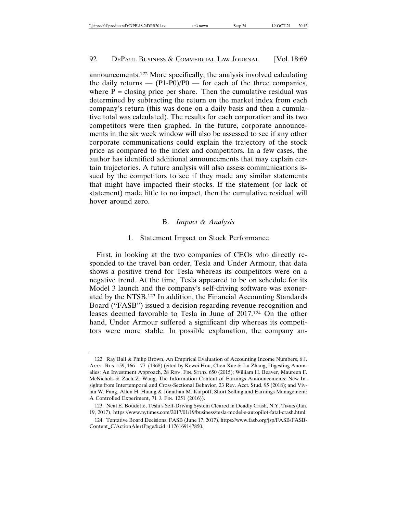announcements.122 More specifically, the analysis involved calculating the daily returns —  $(P1-P0)/P0$  — for each of the three companies, where  $P =$  closing price per share. Then the cumulative residual was determined by subtracting the return on the market index from each company's return (this was done on a daily basis and then a cumulative total was calculated). The results for each corporation and its two competitors were then graphed. In the future, corporate announcements in the six week window will also be assessed to see if any other corporate communications could explain the trajectory of the stock price as compared to the index and competitors. In a few cases, the author has identified additional announcements that may explain certain trajectories. A future analysis will also assess communications issued by the competitors to see if they made any similar statements that might have impacted their stocks. If the statement (or lack of statement) made little to no impact, then the cumulative residual will hover around zero.

## B. *Impact & Analysis*

## 1. Statement Impact on Stock Performance

First, in looking at the two companies of CEOs who directly responded to the travel ban order, Tesla and Under Armour, that data shows a positive trend for Tesla whereas its competitors were on a negative trend. At the time, Tesla appeared to be on schedule for its Model 3 launch and the company's self-driving software was exonerated by the NTSB.123 In addition, the Financial Accounting Standards Board ("FASB") issued a decision regarding revenue recognition and leases deemed favorable to Tesla in June of 2017.124 On the other hand, Under Armour suffered a significant dip whereas its competitors were more stable. In possible explanation, the company an-

<sup>122.</sup> Ray Ball & Philip Brown, An Empirical Evaluation of Accounting Income Numbers, 6 J. Accr. Res. 159, 166—77 (1968) (cited by Kewei Hou, Chen Xue & Lu Zhang, Digesting Anomalies: An Investment Approach, 28 REV. FIN. STUD. 650 (2015); William H. Beaver, Maureen F. McNichols & Zach Z. Wang, The Information Content of Earnings Announcements: New Insights from Intertemporal and Cross-Sectional Behavior, 23 Rev. Acct. Stud, 95 (2018); and Vivian W. Fang, Allen H. Huang & Jonathan M. Karpoff, Short Selling and Earnings Management: A Controlled Experiment, 71 J. FIN. 1251 (2016)).

<sup>123.</sup> Neal E. Boudette, Tesla's Self-Driving System Cleared in Deadly Crash, N.Y. TIMES (Jan. 19, 2017), https://www.nytimes.com/2017/01/19/business/tesla-model-s-autopilot-fatal-crash.html.

<sup>124.</sup> Tentative Board Decisions, FASB (June 17, 2017), https://www.fasb.org/jsp/FASB/FASB-Content\_C/ActionAlertPage&cid=1176169147850.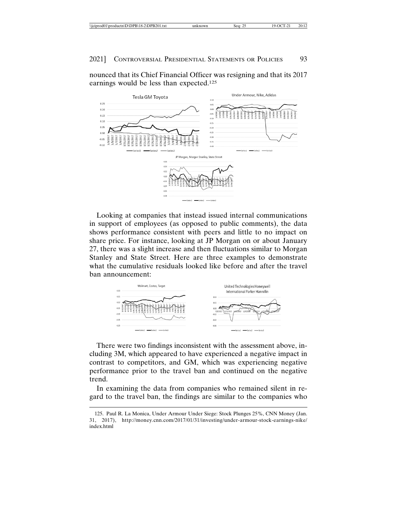|--|

nounced that its Chief Financial Officer was resigning and that its 2017 earnings would be less than expected.125



Looking at companies that instead issued internal communications in support of employees (as opposed to public comments), the data shows performance consistent with peers and little to no impact on share price. For instance, looking at JP Morgan on or about January 27, there was a slight increase and then fluctuations similar to Morgan Stanley and State Street. Here are three examples to demonstrate what the cumulative residuals looked like before and after the travel ban announcement:



There were two findings inconsistent with the assessment above, including 3M, which appeared to have experienced a negative impact in contrast to competitors, and GM, which was experiencing negative performance prior to the travel ban and continued on the negative trend.

In examining the data from companies who remained silent in regard to the travel ban, the findings are similar to the companies who

<sup>125.</sup> Paul R. La Monica, Under Armour Under Siege: Stock Plunges 25%, CNN Money (Jan. 31, 2017), http://money.cnn.com/2017/01/31/investing/under-armour-stock-earnings-nike/ index.html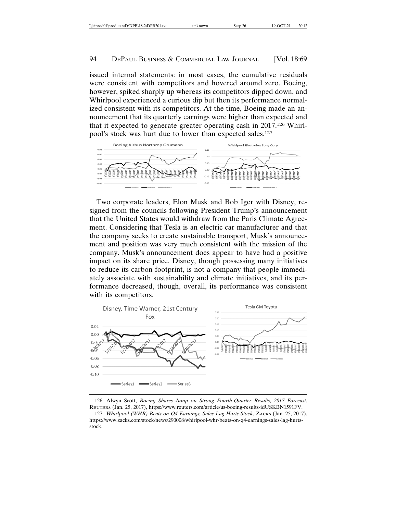issued internal statements: in most cases, the cumulative residuals were consistent with competitors and hovered around zero. Boeing, however, spiked sharply up whereas its competitors dipped down, and Whirlpool experienced a curious dip but then its performance normalized consistent with its competitors. At the time, Boeing made an announcement that its quarterly earnings were higher than expected and that it expected to generate greater operating cash in 2017.126 Whirlpool's stock was hurt due to lower than expected sales.127



Two corporate leaders, Elon Musk and Bob Iger with Disney, resigned from the councils following President Trump's announcement that the United States would withdraw from the Paris Climate Agreement. Considering that Tesla is an electric car manufacturer and that the company seeks to create sustainable transport, Musk's announcement and position was very much consistent with the mission of the company. Musk's announcement does appear to have had a positive impact on its share price. Disney, though possessing many initiatives to reduce its carbon footprint, is not a company that people immediately associate with sustainability and climate initiatives, and its performance decreased, though, overall, its performance was consistent with its competitors.



126. Alwyn Scott, *Boeing Shares Jump on Strong Fourth-Quarter Results, 2017 Forecast*, REUTERS (Jan. 25, 2017), https://www.reuters.com/article/us-boeing-results-idUSKBN1591FV.

127. Whirlpool (WHR) Beats on Q4 Earnings, Sales Lag Hurts Stock, ZACKS (Jan. 25, 2017), https://www.zacks.com/stock/news/290008/whirlpool-whr-beats-on-q4-earnings-sales-lag-hurtsstock.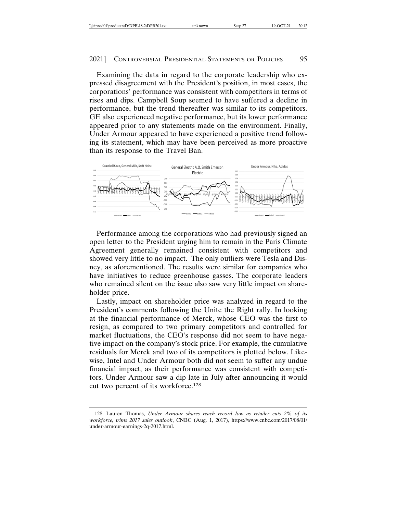Examining the data in regard to the corporate leadership who expressed disagreement with the President's position, in most cases, the corporations' performance was consistent with competitors in terms of rises and dips. Campbell Soup seemed to have suffered a decline in performance, but the trend thereafter was similar to its competitors. GE also experienced negative performance, but its lower performance appeared prior to any statements made on the environment. Finally, Under Armour appeared to have experienced a positive trend following its statement, which may have been perceived as more proactive than its response to the Travel Ban.



Performance among the corporations who had previously signed an open letter to the President urging him to remain in the Paris Climate Agreement generally remained consistent with competitors and showed very little to no impact. The only outliers were Tesla and Disney, as aforementioned. The results were similar for companies who have initiatives to reduce greenhouse gasses. The corporate leaders who remained silent on the issue also saw very little impact on shareholder price.

Lastly, impact on shareholder price was analyzed in regard to the President's comments following the Unite the Right rally. In looking at the financial performance of Merck, whose CEO was the first to resign, as compared to two primary competitors and controlled for market fluctuations, the CEO's response did not seem to have negative impact on the company's stock price. For example, the cumulative residuals for Merck and two of its competitors is plotted below. Likewise, Intel and Under Armour both did not seem to suffer any undue financial impact, as their performance was consistent with competitors. Under Armour saw a dip late in July after announcing it would cut two percent of its workforce.128

<sup>128.</sup> Lauren Thomas, *Under Armour shares reach record low as retailer cuts 2% of its workforce, trims 2017 sales outlook*, CNBC (Aug. 1, 2017), https://www.cnbc.com/2017/08/01/ under-armour-earnings-2q-2017.html.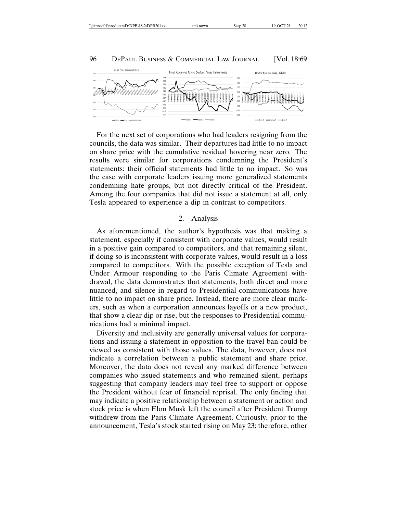

For the next set of corporations who had leaders resigning from the councils, the data was similar. Their departures had little to no impact on share price with the cumulative residual hovering near zero. The results were similar for corporations condemning the President's statements: their official statements had little to no impact. So was the case with corporate leaders issuing more generalized statements condemning hate groups, but not directly critical of the President. Among the four companies that did not issue a statement at all, only Tesla appeared to experience a dip in contrast to competitors.

#### 2. Analysis

As aforementioned, the author's hypothesis was that making a statement, especially if consistent with corporate values, would result in a positive gain compared to competitors, and that remaining silent, if doing so is inconsistent with corporate values, would result in a loss compared to competitors. With the possible exception of Tesla and Under Armour responding to the Paris Climate Agreement withdrawal, the data demonstrates that statements, both direct and more nuanced, and silence in regard to Presidential communications have little to no impact on share price. Instead, there are more clear markers, such as when a corporation announces layoffs or a new product, that show a clear dip or rise, but the responses to Presidential communications had a minimal impact.

Diversity and inclusivity are generally universal values for corporations and issuing a statement in opposition to the travel ban could be viewed as consistent with those values. The data, however, does not indicate a correlation between a public statement and share price. Moreover, the data does not reveal any marked difference between companies who issued statements and who remained silent, perhaps suggesting that company leaders may feel free to support or oppose the President without fear of financial reprisal. The only finding that may indicate a positive relationship between a statement or action and stock price is when Elon Musk left the council after President Trump withdrew from the Paris Climate Agreement. Curiously, prior to the announcement, Tesla's stock started rising on May 23; therefore, other

## 96 DEPAUL BUSINESS & COMMERCIAL LAW JOURNAL [Vol. 18:69]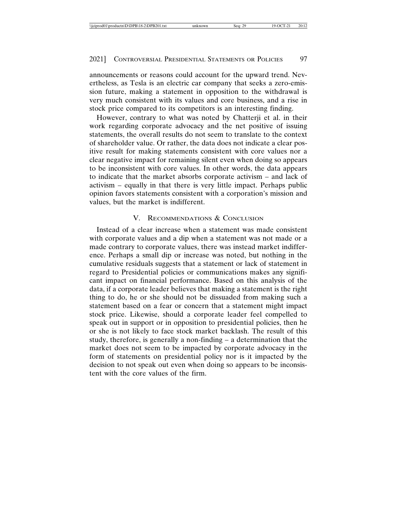announcements or reasons could account for the upward trend. Nevertheless, as Tesla is an electric car company that seeks a zero-emission future, making a statement in opposition to the withdrawal is very much consistent with its values and core business, and a rise in stock price compared to its competitors is an interesting finding.

However, contrary to what was noted by Chatterji et al. in their work regarding corporate advocacy and the net positive of issuing statements, the overall results do not seem to translate to the context of shareholder value. Or rather, the data does not indicate a clear positive result for making statements consistent with core values nor a clear negative impact for remaining silent even when doing so appears to be inconsistent with core values. In other words, the data appears to indicate that the market absorbs corporate activism – and lack of activism – equally in that there is very little impact. Perhaps public opinion favors statements consistent with a corporation's mission and values, but the market is indifferent.

## V. RECOMMENDATIONS & CONCLUSION

Instead of a clear increase when a statement was made consistent with corporate values and a dip when a statement was not made or a made contrary to corporate values, there was instead market indifference. Perhaps a small dip or increase was noted, but nothing in the cumulative residuals suggests that a statement or lack of statement in regard to Presidential policies or communications makes any significant impact on financial performance. Based on this analysis of the data, if a corporate leader believes that making a statement is the right thing to do, he or she should not be dissuaded from making such a statement based on a fear or concern that a statement might impact stock price. Likewise, should a corporate leader feel compelled to speak out in support or in opposition to presidential policies, then he or she is not likely to face stock market backlash. The result of this study, therefore, is generally a non-finding – a determination that the market does not seem to be impacted by corporate advocacy in the form of statements on presidential policy nor is it impacted by the decision to not speak out even when doing so appears to be inconsistent with the core values of the firm.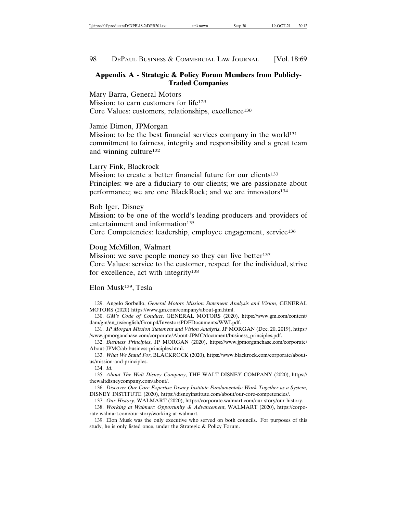## **Appendix A - Strategic & Policy Forum Members from Publicly-Traded Companies**

Mary Barra, General Motors Mission: to earn customers for life<sup>129</sup> Core Values: customers, relationships, excellence<sup>130</sup>

Jamie Dimon, JPMorgan

Mission: to be the best financial services company in the world $131$ commitment to fairness, integrity and responsibility and a great team and winning culture132

Larry Fink, Blackrock

Mission: to create a better financial future for our clients<sup>133</sup> Principles: we are a fiduciary to our clients; we are passionate about performance; we are one BlackRock; and we are innovators<sup>134</sup>

Bob Iger, Disney Mission: to be one of the world's leading producers and providers of

entertainment and information<sup>135</sup> Core Competencies: leadership, employee engagement, service136

## Doug McMillon, Walmart

Mission: we save people money so they can live better<sup>137</sup> Core Values: service to the customer, respect for the individual, strive for excellence, act with integrity138

## Elon Musk139, Tesla

134. *Id*.

136. *Discover Our Core Expertise Disney Institute Fundamentals: Work Together as a System,* DISNEY INSTITUTE (2020), https://disneyinstitute.com/about/our-core-competencies/.

137. *Our History*, WALMART (2020), https://corporate.walmart.com/our-story/our-history.

138. *Working at Walmart: Opportunity & Advancement*, WALMART (2020), https://corporate.walmart.com/our-story/working-at-walmart.

139. Elon Musk was the only executive who served on both councils. For purposes of this study, he is only listed once, under the Strategic & Policy Forum.

<sup>129.</sup> Angelo Sorbello, *General Motors Mission Statement Analysis and Vision*, GENERAL MOTORS (2020) https://www.gm.com/company/about-gm.html.

<sup>130.</sup> *GM's Code of Conduct*, GENERAL MOTORS (2020), https://www.gm.com/content/ dam/gm/en\_us/english/Group4/InvestorsPDFDocuments/WWI.pdf.

<sup>131.</sup> J*P Morgan Mission Statement and Vision Analysis*, JP MORGAN (Dec. 20, 2019), https:/ /www.jpmorganchase.com/corporate/About-JPMC/document/business\_principles.pdf.

<sup>132.</sup> *Business Principles*, JP MORGAN (2020), https://www.jpmorganchase.com/corporate/ About-JPMC/ab-business-principles.html.

<sup>133.</sup> *What We Stand For*, BLACKROCK (2020), https://www.blackrock.com/corporate/aboutus/mission-and-principles.

<sup>135.</sup> *About The Walt Disney Company*, THE WALT DISNEY COMPANY (2020), https:// thewaltdisneycompany.com/about/.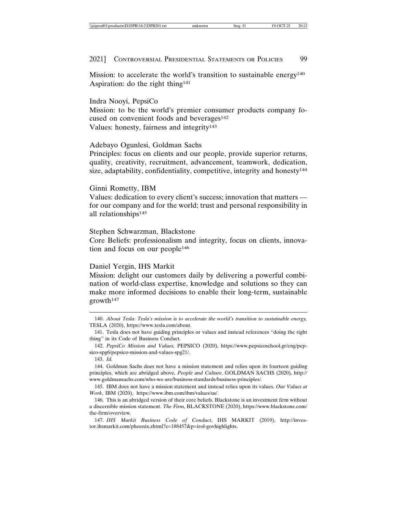Mission: to accelerate the world's transition to sustainable energy<sup>140</sup> Aspiration: do the right thing<sup>141</sup>

Indra Nooyi, PepsiCo

Mission: to be the world's premier consumer products company focused on convenient foods and beverages<sup>142</sup> Values: honesty, fairness and integrity<sup>143</sup>

## Adebayo Ogunlesi, Goldman Sachs

Principles: focus on clients and our people, provide superior returns, quality, creativity, recruitment, advancement, teamwork, dedication, size, adaptability, confidentiality, competitive, integrity and honesty<sup>144</sup>

## Ginni Rometty, IBM

Values: dedication to every client's success; innovation that matters for our company and for the world; trust and personal responsibility in all relationships145

Stephen Schwarzman, Blackstone

Core Beliefs: professionalism and integrity, focus on clients, innovation and focus on our people146

#### Daniel Yergin, IHS Markit

Mission: delight our customers daily by delivering a powerful combination of world-class expertise, knowledge and solutions so they can make more informed decisions to enable their long-term, sustainable growth147

143. *Id*.

<sup>140.</sup> *About Tesla: Tesla's mission is to accelerate the world's transition to sustainable energy,* TESLA (2020), https://www.tesla.com/about.

<sup>141.</sup> Tesla does not have guiding principles or values and instead references "doing the right thing" in its Code of Business Conduct.

<sup>142.</sup> *PepsiCo Mission and Values,* PEPSICO (2020), https://www.pepsicoschool.gr/eng/pepsico-spg6/pepsico-mission-and-values-spg21/.

<sup>144.</sup> Goldman Sachs does not have a mission statement and relies upon its fourteen guiding principles, which are abridged above. *People and Culture*, GOLDMAN SACHS (2020), http:// www.goldmansachs.com/who-we-are/business-standards/business-principles/.

<sup>145.</sup> IBM does not have a mission statement and instead relies upon its values. *Our Values at Work*, IBM (2020), https://www.ibm.com/ibm/values/us/.

<sup>146.</sup> This is an abridged version of their core beliefs. Blackstone is an investment firm without a discernible mission statement. *The Firm,* BLACKSTONE (2020), https://www.blackstone.com/ the-firm/overview.

<sup>147.</sup> *IHS Markit Business Code of Conduct*, IHS MARKIT (2019), http://investor.ihsmarkit.com/phoenix.zhtml?c=188457&p=irol-govhighlights.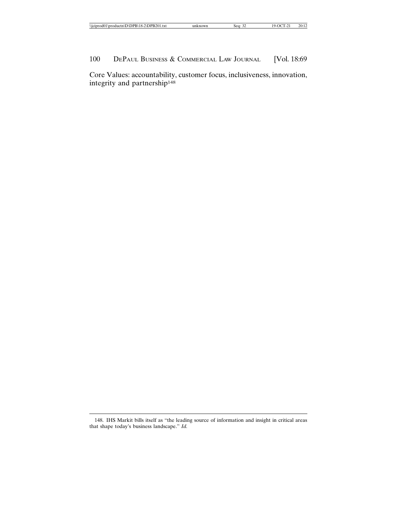| $\cdots$<br>10.4<br>20<br>P <sub>I</sub><br>41.txt<br>\\1C1<br>റവ<br>۱nt<br>.<br>700111<br>. | $\mathrm{m}$ own<br>ın | $\sim$<br>sea:<br>-24 | 20:12 |
|----------------------------------------------------------------------------------------------|------------------------|-----------------------|-------|

Core Values: accountability, customer focus, inclusiveness, innovation, integrity and partnership148

<sup>148.</sup> IHS Markit bills itself as "the leading source of information and insight in critical areas that shape today's business landscape." *Id.*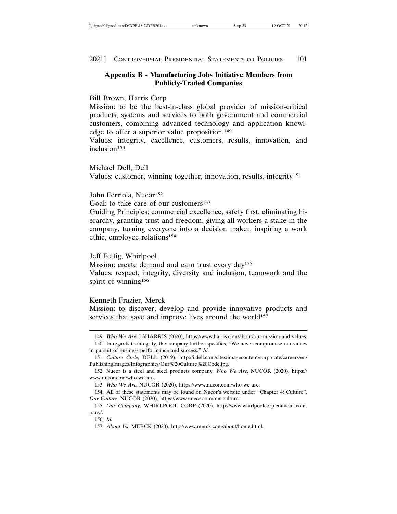| \\iciprod01\productn\D\DPB\18-2\DPB201.txt | unknown | OCT.<br>~~<br>Seg: 33 | 20:12 |
|--------------------------------------------|---------|-----------------------|-------|
|--------------------------------------------|---------|-----------------------|-------|

## **Appendix B - Manufacturing Jobs Initiative Members from Publicly-Traded Companies**

## Bill Brown, Harris Corp

Mission: to be the best-in-class global provider of mission-critical products, systems and services to both government and commercial customers, combining advanced technology and application knowledge to offer a superior value proposition.149

Values: integrity, excellence, customers, results, innovation, and inclusion<sup>150</sup>

Michael Dell, Dell Values: customer, winning together, innovation, results, integrity151

John Ferriola, Nucor<sup>152</sup>

Goal: to take care of our customers<sup>153</sup>

Guiding Principles: commercial excellence, safety first, eliminating hierarchy, granting trust and freedom, giving all workers a stake in the company, turning everyone into a decision maker, inspiring a work ethic, employee relations154

#### Jeff Fettig, Whirlpool

Mission: create demand and earn trust every day<sup>155</sup> Values: respect, integrity, diversity and inclusion, teamwork and the spirit of winning<sup>156</sup>

## Kenneth Frazier, Merck

Mission: to discover, develop and provide innovative products and services that save and improve lives around the world<sup>157</sup>

<sup>149.</sup> *Who We Are*, L3HARRIS (2020), https://www.harris.com/about/our-mission-and-values. 150. In regards to integrity, the company further specifies, "We never compromise our values

in pursuit of business performance and success." *Id.*

<sup>151.</sup> *Culture Code,* DELL (2019), http://i.dell.com/sites/imagecontent/corporate/careers/en/ PublishingImages/Infographics/Our%20Culture%20Code.jpg.

<sup>152.</sup> Nucor is a steel and steel products company. *Who We Are*, NUCOR (2020), https:// www.nucor.com/who-we-are.

<sup>153.</sup> *Who We Are*, NUCOR (2020), https://www.nucor.com/who-we-are.

<sup>154.</sup> All of these statements may be found on Nucor's website under "Chapter 4: Culture". *Our Culture*, NUCOR (2020), https://www.nucor.com/our-culture.

<sup>155.</sup> *Our Company*, WHIRLPOOL CORP (2020), http://www.whirlpoolcorp.com/our-company/.

<sup>156.</sup> *Id.*

<sup>157.</sup> *About Us*, MERCK (2020), http://www.merck.com/about/home.html.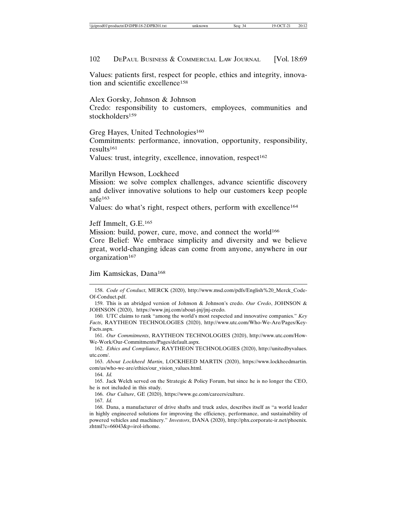Values: patients first, respect for people, ethics and integrity, innovation and scientific excellence158

Alex Gorsky, Johnson & Johnson

Credo: responsibility to customers, employees, communities and stockholders<sup>159</sup>

Greg Hayes, United Technologies<sup>160</sup>

Commitments: performance, innovation, opportunity, responsibility, results<sup>161</sup>

Values: trust, integrity, excellence, innovation, respect<sup>162</sup>

Marillyn Hewson, Lockheed

Mission: we solve complex challenges, advance scientific discovery and deliver innovative solutions to help our customers keep people safe<sup>163</sup>

Values: do what's right, respect others, perform with excellence164

Jeff Immelt, G.E.165

Mission: build, power, cure, move, and connect the world<sup>166</sup>

Core Belief: We embrace simplicity and diversity and we believe great, world-changing ideas can come from anyone, anywhere in our organization<sup>167</sup>

Jim Kamsickas, Dana168

161. *Our Commitments*, RAYTHEON TECHNOLOGIES (2020), http://www.utc.com/How-We-Work/Our-Commitments/Pages/default.aspx.

162. *Ethics and Compliance*, RAYTHEON TECHNOLOGIES (2020), http://unitedbyvalues. utc.com/.

163. *About Lockheed Martin*, LOCKHEED MARTIN (2020), https://www.lockheedmartin. com/us/who-we-are/ethics/our\_vision\_values.html.

164. *Id.*

165. Jack Welch served on the Strategic & Policy Forum, but since he is no longer the CEO, he is not included in this study.

166. *Our Culture*, GE (2020), https://www.ge.com/careers/culture.

<sup>158.</sup> *Code of Conduct*, MERCK (2020), http://www.msd.com/pdfs/English%20\_Merck\_Code-Of-Conduct.pdf.

<sup>159.</sup> This is an abridged version of Johnson & Johnson's credo. *Our Credo*, JOHNSON & JOHNSON (2020), https://www.jnj.com/about-jnj/jnj-credo.

<sup>160.</sup> UTC claims to rank "among the world's most respected and innovative companies." *Key Facts*, RAYTHEON TECHNOLOGIES (2020), http://www.utc.com/Who-We-Are/Pages/Key-Facts.aspx.

<sup>167.</sup> *Id.*

<sup>168.</sup> Dana, a manufacturer of drive shafts and truck axles, describes itself as "a world leader in highly engineered solutions for improving the efficiency, performance, and sustainability of powered vehicles and machinery." *Investors*, DANA (2020), http://phx.corporate-ir.net/phoenix. zhtml?c=66043&p=irol-irhome.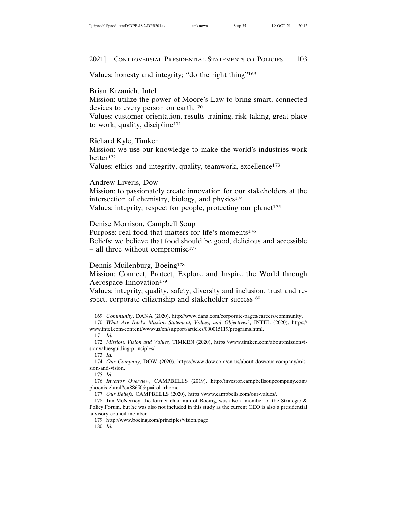Values: honesty and integrity; "do the right thing"169

Brian Krzanich, Intel

Mission: utilize the power of Moore's Law to bring smart, connected devices to every person on earth.170

Values: customer orientation, results training, risk taking, great place to work, quality, discipline171

Richard Kyle, Timken

Mission: we use our knowledge to make the world's industries work better172

Values: ethics and integrity, quality, teamwork, excellence<sup>173</sup>

Andrew Liveris, Dow

Mission: to passionately create innovation for our stakeholders at the intersection of chemistry, biology, and physics $174$ Values: integrity, respect for people, protecting our planet<sup>175</sup>

Denise Morrison, Campbell Soup

Purpose: real food that matters for life's moments<sup>176</sup> Beliefs: we believe that food should be good, delicious and accessible  $-$  all three without compromise<sup>177</sup>

#### Dennis Muilenburg, Boeing<sup>178</sup>

Mission: Connect, Protect, Explore and Inspire the World through Aerospace Innovation<sup>179</sup>

Values: integrity, quality, safety, diversity and inclusion, trust and respect, corporate citizenship and stakeholder success<sup>180</sup>

173. *Id.*

175. *Id.*

177. *Our Beliefs,* CAMPBELLS (2020), https://www.campbells.com/our-values/.

179. http://www.boeing.com/principles/vision.page

180. *Id.*

<sup>169.</sup> *Community*, DANA (2020), http://www.dana.com/corporate-pages/careers/community.

<sup>170.</sup> *What Are Intel's Mission Statement, Values, and Objectives?,* INTEL (2020), https:// www.intel.com/content/www/us/en/support/articles/000015119/programs.html.

<sup>171.</sup> *Id.*

<sup>172.</sup> *Mission, Vision and Values,* TIMKEN (2020), https://www.timken.com/about/missionvisionvaluesguiding-principles/.

<sup>174.</sup> *Our Company*, DOW (2020), https://www.dow.com/en-us/about-dow/our-company/mission-and-vision.

<sup>176.</sup> *Investor Overview,* CAMPBELLS (2019), http://investor.campbellsoupcompany.com/ phoenix.zhtml?c=88650&p=irol-irhome.

<sup>178.</sup> Jim McNerney, the former chairman of Boeing, was also a member of the Strategic  $\&$ Policy Forum, but he was also not included in this study as the current CEO is also a presidential advisory council member.